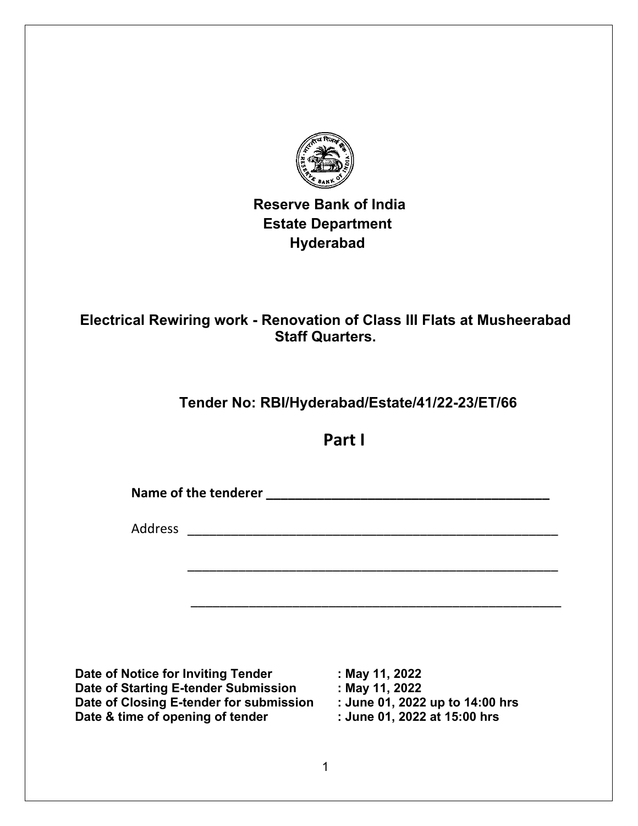

 **Reserve Bank of India Estate Department Hyderabad**

# **Electrical Rewiring work - Renovation of Class III Flats at Musheerabad Staff Quarters.**

# **Tender No: RBI/Hyderabad/Estate/41/22-23/ET/66**

**Part I**

\_\_\_\_\_\_\_\_\_\_\_\_\_\_\_\_\_\_\_\_\_\_\_\_\_\_\_\_\_\_\_\_\_\_\_\_\_\_\_\_\_\_\_\_\_\_\_\_\_\_\_

\_\_\_\_\_\_\_\_\_\_\_\_\_\_\_\_\_\_\_\_\_\_\_\_\_\_\_\_\_\_\_\_\_\_\_\_\_\_\_\_\_\_\_\_\_\_\_\_\_\_\_

Name of the tenderer **Name of the tenderer Name of the tenderer** 

Address \_\_\_\_\_\_\_\_\_\_\_\_\_\_\_\_\_\_\_\_\_\_\_\_\_\_\_\_\_\_\_\_\_\_\_\_\_\_\_\_\_\_\_\_\_\_\_\_\_\_\_

**Date of Notice for Inviting Tender : May 11, 2022 Date of Starting E-tender Submission : May 11, 2022 Date of Closing E-tender for submission : June 01, 2022 up to 14:00 hrs Date & time of opening of tender**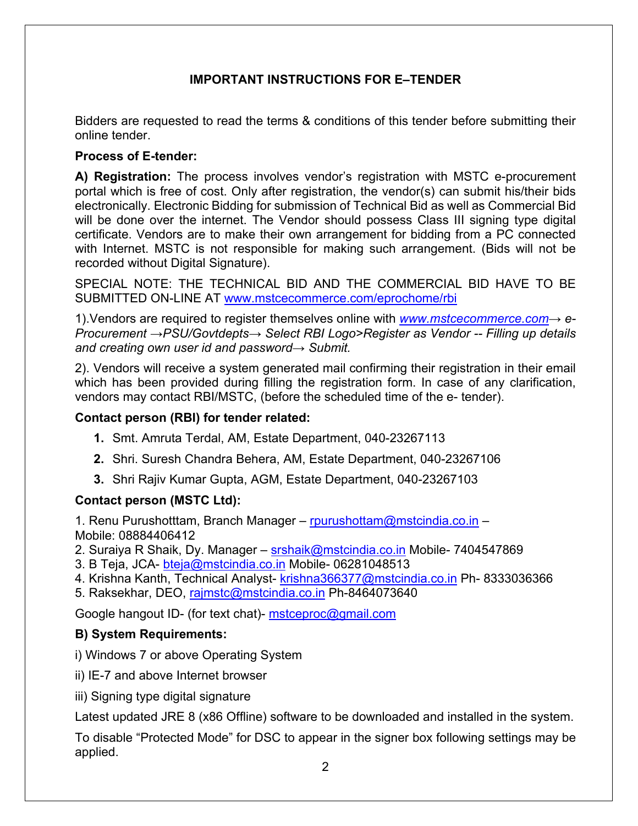### **IMPORTANT INSTRUCTIONS FOR E–TENDER**

Bidders are requested to read the terms & conditions of this tender before submitting their online tender.

#### **Process of E-tender:**

**A) Registration:** The process involves vendor's registration with MSTC e-procurement portal which is free of cost. Only after registration, the vendor(s) can submit his/their bids electronically. Electronic Bidding for submission of Technical Bid as well as Commercial Bid will be done over the internet. The Vendor should possess Class III signing type digital certificate. Vendors are to make their own arrangement for bidding from a PC connected with Internet. MSTC is not responsible for making such arrangement. (Bids will not be recorded without Digital Signature).

SPECIAL NOTE: THE TECHNICAL BID AND THE COMMERCIAL BID HAVE TO BE SUBMITTED ON-LINE AT [www.mstcecommerce.com/eprochome/rbi](https://www.mstcecommerce.com/eprochome/rbi/)

1).Vendors are required to register themselves online with *[www.mstcecommerce.com](https://www.mstcecommerce.com/)→ e-Procurement →PSU/Govtdepts→ Select RBI Logo>Register as Vendor -- Filling up details and creating own user id and password→ Submit.*

2). Vendors will receive a system generated mail confirming their registration in their email which has been provided during filling the registration form. In case of any clarification, vendors may contact RBI/MSTC, (before the scheduled time of the e- tender).

#### **Contact person (RBI) for tender related:**

- **1.** Smt. Amruta Terdal, AM, Estate Department, 040-23267113
- **2.** Shri. Suresh Chandra Behera, AM, Estate Department, 040-23267106
- **3.** Shri Rajiv Kumar Gupta, AGM, Estate Department, 040-23267103

#### **Contact person (MSTC Ltd):**

1. Renu Purushotttam, Branch Manager – [rpurushottam@mstcindia.co.in](mailto:rpurushottam@mstcindia.co.in) – Mobile: 08884406412

2. Suraiya R Shaik, Dy. Manager – [srshaik@mstcindia.co.in](mailto:srshaik@mstcindia.co.in) Mobile- 7404547869

3. B Teja, JCA- [bteja@mstcindia.co.in](mailto:bteja@mstcindia.co.in) Mobile- 06281048513

4. Krishna Kanth, Technical Analyst- [krishna366377@mstcindia.co.in](mailto:krishna366377@mstcindia.co.in) Ph- 8333036366

5. Raksekhar, DEO, [rajmstc@mstcindia.co.in](mailto:rajmstc@mstcindia.co.in) Ph-8464073640

Google hangout ID- (for text chat)- [mstceproc@gmail.com](mailto:mstceproc@gmail.com)

#### **B) System Requirements:**

- i) Windows 7 or above Operating System
- ii) IE-7 and above Internet browser
- iii) Signing type digital signature

Latest updated JRE 8 (x86 Offline) software to be downloaded and installed in the system.

To disable "Protected Mode" for DSC to appear in the signer box following settings may be applied.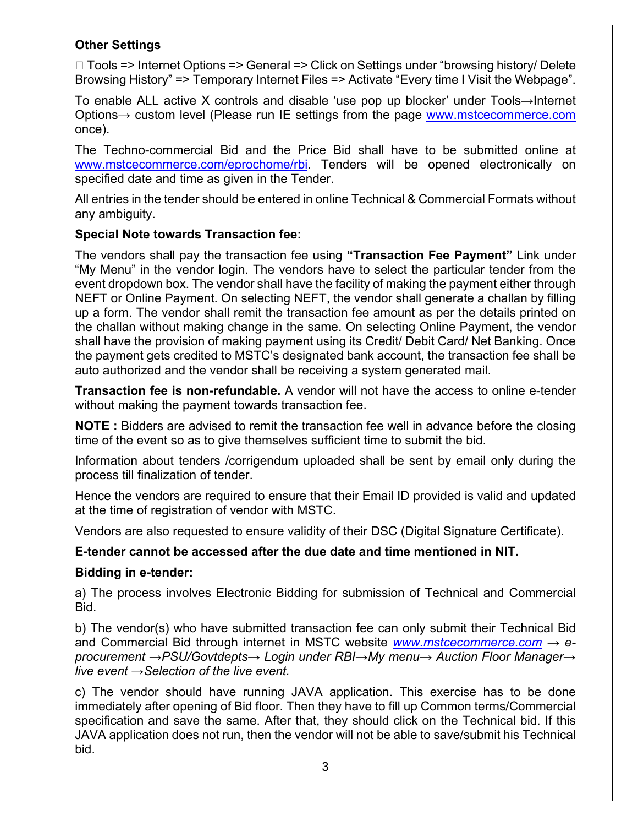#### **Other Settings**

□ Tools => Internet Options => General => Click on Settings under "browsing history/ Delete Browsing History" => Temporary Internet Files => Activate "Every time I Visit the Webpage".

To enable ALL active X controls and disable 'use pop up blocker' under Tools→Internet Options→ custom level (Please run IE settings from the page [www.mstcecommerce.com](https://www.mstcecommerce.com/) once).

The Techno-commercial Bid and the Price Bid shall have to be submitted online at [www.mstcecommerce.com/eprochome/rbi.](https://www.mstcecommerce.com/eprochome/rbi/) Tenders will be opened electronically on specified date and time as given in the Tender.

All entries in the tender should be entered in online Technical & Commercial Formats without any ambiguity.

#### **Special Note towards Transaction fee:**

The vendors shall pay the transaction fee using **"Transaction Fee Payment"** Link under "My Menu" in the vendor login. The vendors have to select the particular tender from the event dropdown box. The vendor shall have the facility of making the payment either through NEFT or Online Payment. On selecting NEFT, the vendor shall generate a challan by filling up a form. The vendor shall remit the transaction fee amount as per the details printed on the challan without making change in the same. On selecting Online Payment, the vendor shall have the provision of making payment using its Credit/ Debit Card/ Net Banking. Once the payment gets credited to MSTC's designated bank account, the transaction fee shall be auto authorized and the vendor shall be receiving a system generated mail.

**Transaction fee is non-refundable.** A vendor will not have the access to online e-tender without making the payment towards transaction fee.

**NOTE :** Bidders are advised to remit the transaction fee well in advance before the closing time of the event so as to give themselves sufficient time to submit the bid.

Information about tenders /corrigendum uploaded shall be sent by email only during the process till finalization of tender.

Hence the vendors are required to ensure that their Email ID provided is valid and updated at the time of registration of vendor with MSTC.

Vendors are also requested to ensure validity of their DSC (Digital Signature Certificate).

#### **E-tender cannot be accessed after the due date and time mentioned in NIT.**

#### **Bidding in e-tender:**

a) The process involves Electronic Bidding for submission of Technical and Commercial Bid.

b) The vendor(s) who have submitted transaction fee can only submit their Technical Bid and Commercial Bid through internet in MSTC website *[www.mstcecommerce.com](https://www.mstcecommerce.com/) → eprocurement →PSU/Govtdepts→ Login under RBI→My menu→ Auction Floor Manager→ live event →Selection of the live event.*

c) The vendor should have running JAVA application. This exercise has to be done immediately after opening of Bid floor. Then they have to fill up Common terms/Commercial specification and save the same. After that, they should click on the Technical bid. If this JAVA application does not run, then the vendor will not be able to save/submit his Technical bid.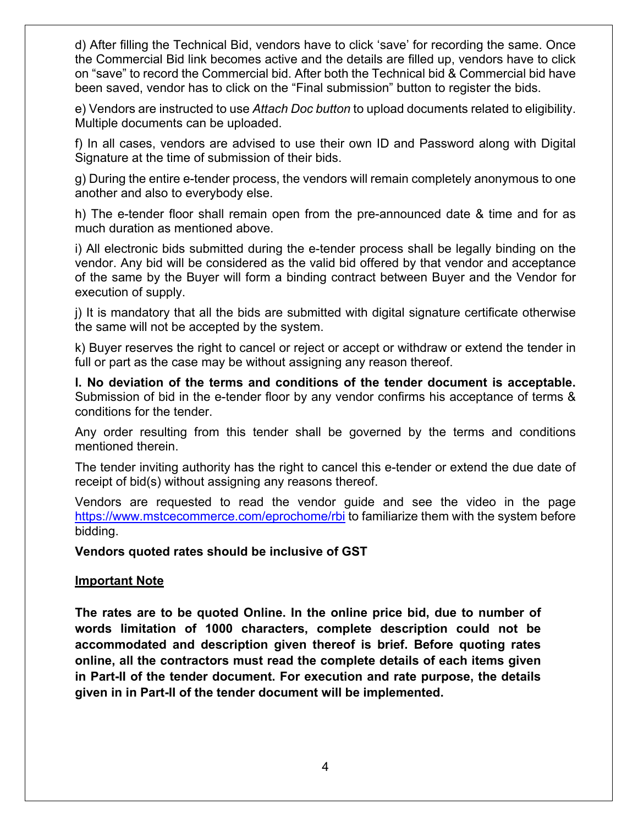d) After filling the Technical Bid, vendors have to click 'save' for recording the same. Once the Commercial Bid link becomes active and the details are filled up, vendors have to click on "save" to record the Commercial bid. After both the Technical bid & Commercial bid have been saved, vendor has to click on the "Final submission" button to register the bids.

e) Vendors are instructed to use *Attach Doc button* to upload documents related to eligibility. Multiple documents can be uploaded.

f) In all cases, vendors are advised to use their own ID and Password along with Digital Signature at the time of submission of their bids.

g) During the entire e-tender process, the vendors will remain completely anonymous to one another and also to everybody else.

h) The e-tender floor shall remain open from the pre-announced date & time and for as much duration as mentioned above.

i) All electronic bids submitted during the e-tender process shall be legally binding on the vendor. Any bid will be considered as the valid bid offered by that vendor and acceptance of the same by the Buyer will form a binding contract between Buyer and the Vendor for execution of supply.

j) It is mandatory that all the bids are submitted with digital signature certificate otherwise the same will not be accepted by the system.

k) Buyer reserves the right to cancel or reject or accept or withdraw or extend the tender in full or part as the case may be without assigning any reason thereof.

**l. No deviation of the terms and conditions of the tender document is acceptable.**  Submission of bid in the e-tender floor by any vendor confirms his acceptance of terms & conditions for the tender.

Any order resulting from this tender shall be governed by the terms and conditions mentioned therein.

The tender inviting authority has the right to cancel this e-tender or extend the due date of receipt of bid(s) without assigning any reasons thereof.

Vendors are requested to read the vendor guide and see the video in the page [https://www.mstcecommerce.com/eprochome/rbi](https://www.mstcecommerce.com/eprochome/rbi/) to familiarize them with the system before bidding.

#### **Vendors quoted rates should be inclusive of GST**

#### **Important Note**

**The rates are to be quoted Online. In the online price bid, due to number of words limitation of 1000 characters, complete description could not be accommodated and description given thereof is brief. Before quoting rates online, all the contractors must read the complete details of each items given in Part-II of the tender document. For execution and rate purpose, the details given in in Part-II of the tender document will be implemented.**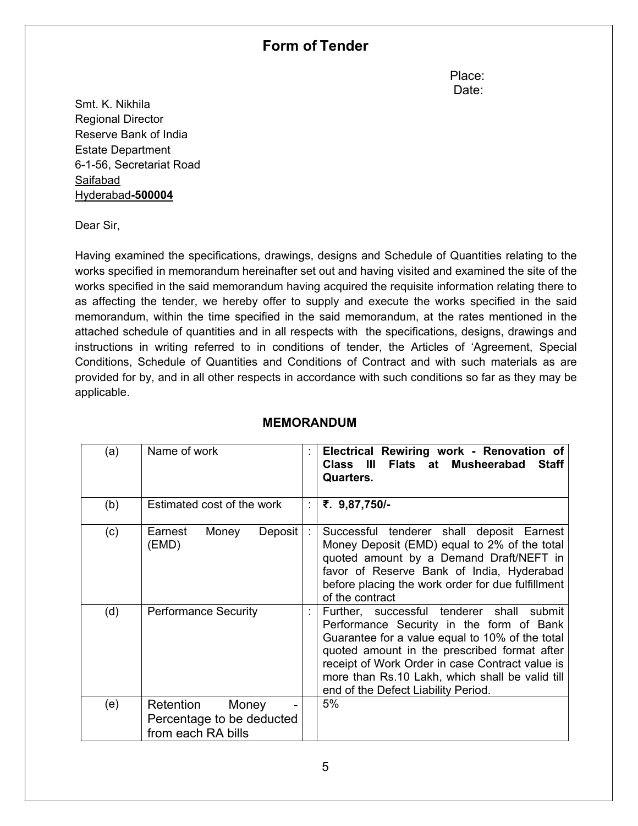## **Form of Tender**

**Place:** The contract of the contract of the contract of the Place: discussion of the contract of the contract of the contract of the Date:

Smt. K. Nikhila Regional Director Reserve Bank of India Estate Department 6-1-56, Secretariat Road Saifabad Hyderabad**-500004**

Dear Sir,

Having examined the specifications, drawings, designs and Schedule of Quantities relating to the works specified in memorandum hereinafter set out and having visited and examined the site of the works specified in the said memorandum having acquired the requisite information relating there to as affecting the tender, we hereby offer to supply and execute the works specified in the said memorandum, within the time specified in the said memorandum, at the rates mentioned in the attached schedule of quantities and in all respects with the specifications, designs, drawings and instructions in writing referred to in conditions of tender, the Articles of 'Agreement, Special Conditions, Schedule of Quantities and Conditions of Contract and with such materials as are provided for by, and in all other respects in accordance with such conditions so far as they may be applicable.

| (a) | Name of work                                                          | Electrical Rewiring work - Renovation of<br>Flats at Musheerabad Staff<br>Class III<br><b>Quarters.</b>                                                                                                                                                                                                                               |
|-----|-----------------------------------------------------------------------|---------------------------------------------------------------------------------------------------------------------------------------------------------------------------------------------------------------------------------------------------------------------------------------------------------------------------------------|
| (b) | Estimated cost of the work                                            | ₹. 9,87,750/-                                                                                                                                                                                                                                                                                                                         |
| (c) | Earnest<br>Deposit<br>Money<br>(EMD)                                  | Successful tenderer shall deposit Earnest<br>Money Deposit (EMD) equal to 2% of the total<br>quoted amount by a Demand Draft/NEFT in<br>favor of Reserve Bank of India, Hyderabad<br>before placing the work order for due fulfillment<br>of the contract                                                                             |
| (d) | <b>Performance Security</b>                                           | Further, successful tenderer shall submit<br>Performance Security in the form of Bank<br>Guarantee for a value equal to 10% of the total<br>quoted amount in the prescribed format after<br>receipt of Work Order in case Contract value is<br>more than Rs.10 Lakh, which shall be valid till<br>end of the Defect Liability Period. |
| (e) | Retention<br>Money<br>Percentage to be deducted<br>from each RA bills | 5%                                                                                                                                                                                                                                                                                                                                    |

#### **MEMORANDUM**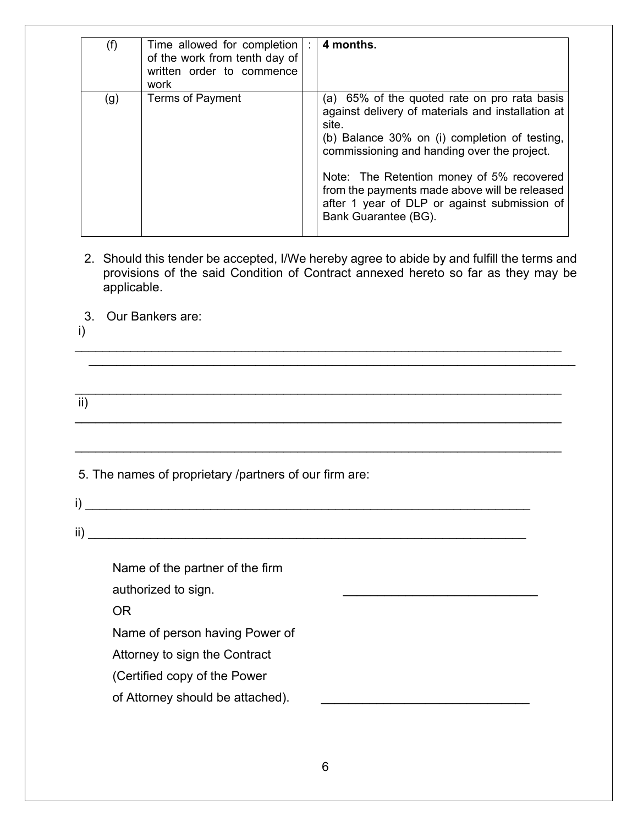| (f) | Time allowed for completion  :<br>of the work from tenth day of<br>written order to commence<br>work | 4 months.                                                                                                                                                                                                                                                                                                                                                                        |
|-----|------------------------------------------------------------------------------------------------------|----------------------------------------------------------------------------------------------------------------------------------------------------------------------------------------------------------------------------------------------------------------------------------------------------------------------------------------------------------------------------------|
| (g) | <b>Terms of Payment</b>                                                                              | (a) 65% of the quoted rate on pro rata basis<br>against delivery of materials and installation at<br>site.<br>(b) Balance 30% on (i) completion of testing,<br>commissioning and handing over the project.<br>Note: The Retention money of 5% recovered<br>from the payments made above will be released<br>after 1 year of DLP or against submission of<br>Bank Guarantee (BG). |

2. Should this tender be accepted, I/We hereby agree to abide by and fulfill the terms and provisions of the said Condition of Contract annexed hereto so far as they may be applicable.

\_\_\_\_\_\_\_\_\_\_\_\_\_\_\_\_\_\_\_\_\_\_\_\_\_\_\_\_\_\_\_\_\_\_\_\_\_\_\_\_\_\_\_\_\_\_\_\_\_\_\_\_\_\_\_\_\_\_\_\_\_\_\_\_\_\_\_\_\_\_ \_\_\_\_\_\_\_\_\_\_\_\_\_\_\_\_\_\_\_\_\_\_\_\_\_\_\_\_\_\_\_\_\_\_\_\_\_\_\_\_\_\_\_\_\_\_\_\_\_\_\_\_\_\_\_\_\_\_\_\_\_\_\_\_\_\_\_\_\_\_

\_\_\_\_\_\_\_\_\_\_\_\_\_\_\_\_\_\_\_\_\_\_\_\_\_\_\_\_\_\_\_\_\_\_\_\_\_\_\_\_\_\_\_\_\_\_\_\_\_\_\_\_\_\_\_\_\_\_\_\_\_\_\_\_\_\_\_\_\_\_

\_\_\_\_\_\_\_\_\_\_\_\_\_\_\_\_\_\_\_\_\_\_\_\_\_\_\_\_\_\_\_\_\_\_\_\_\_\_\_\_\_\_\_\_\_\_\_\_\_\_\_\_\_\_\_\_\_\_\_\_\_\_\_\_\_\_\_\_\_\_

\_\_\_\_\_\_\_\_\_\_\_\_\_\_\_\_\_\_\_\_\_\_\_\_\_\_\_\_\_\_\_\_\_\_\_\_\_\_\_\_\_\_\_\_\_\_\_\_\_\_\_\_\_\_\_\_\_\_\_\_\_\_\_\_\_\_\_\_\_\_

- 3. Our Bankers are:
- i)

 $\overline{ii}$ )

5. The names of proprietary /partners of our firm are:

 $i)$   $\overline{\phantom{a}}$  $\overline{\text{ii}}$ )

Name of the partner of the firm authorized to sign.

OR

Name of person having Power of

Attorney to sign the Contract

(Certified copy of the Power

of Attorney should be attached).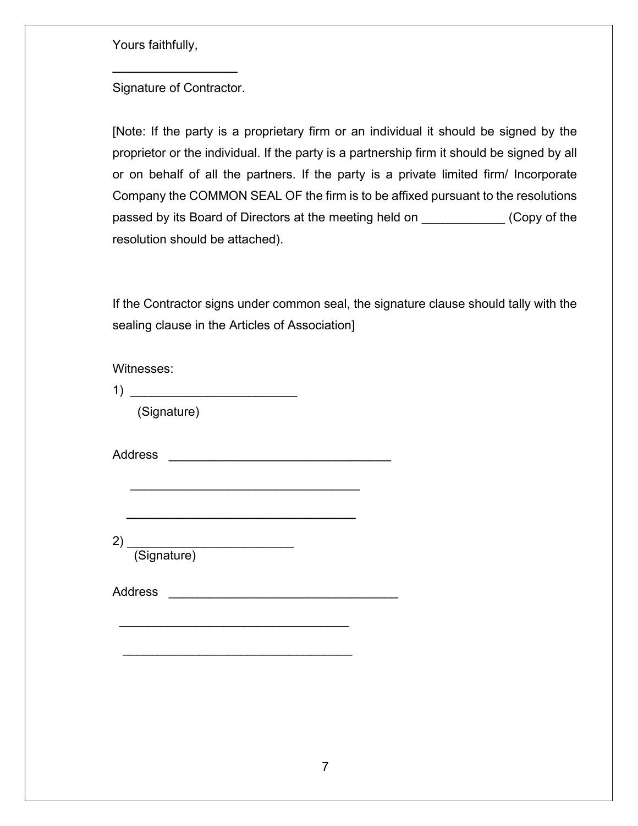Yours faithfully,

Signature of Contractor.

**\_\_\_\_\_\_\_\_\_\_\_\_\_\_\_\_\_\_**

[Note: If the party is a proprietary firm or an individual it should be signed by the proprietor or the individual. If the party is a partnership firm it should be signed by all or on behalf of all the partners. If the party is a private limited firm/ Incorporate Company the COMMON SEAL OF the firm is to be affixed pursuant to the resolutions passed by its Board of Directors at the meeting held on \_\_\_\_\_\_\_\_\_\_\_\_ (Copy of the resolution should be attached).

If the Contractor signs under common seal, the signature clause should tally with the sealing clause in the Articles of Association]

Witnesses:

1) \_\_\_\_\_\_\_\_\_\_\_\_\_\_\_\_\_\_\_\_\_\_\_\_

(Signature)

Address \_\_\_\_\_\_\_\_\_\_\_\_\_\_\_\_\_\_\_\_\_\_\_\_\_\_\_\_\_\_\_\_

2) \_\_\_\_\_\_\_\_\_\_\_\_\_\_\_\_\_\_\_\_\_\_\_\_ (Signature)

Address \_\_\_\_\_\_\_\_\_\_\_\_\_\_\_\_\_\_\_\_\_\_\_\_\_\_\_\_\_\_\_\_\_

\_\_\_\_\_\_\_\_\_\_\_\_\_\_\_\_\_\_\_\_\_\_\_\_\_\_\_\_\_\_\_\_\_

\_\_\_\_\_\_\_\_\_\_\_\_\_\_\_\_\_\_\_\_\_\_\_\_\_\_\_\_\_\_\_\_\_

\_\_\_\_\_\_\_\_\_\_\_\_\_\_\_\_\_\_\_\_\_\_\_\_\_\_\_\_\_\_\_\_\_

 **\_\_\_\_\_\_\_\_\_\_\_\_\_\_\_\_\_\_\_\_\_\_\_\_\_\_\_\_\_\_\_\_\_**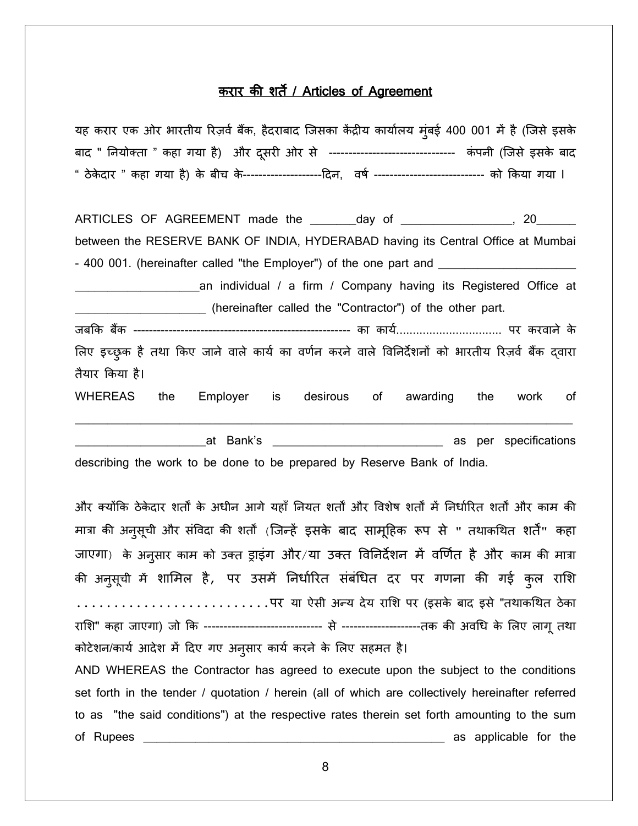#### करार की शर्ते / Articles of Agreement

यह करार एक ओर भारतीय रिज़र्व बैंक, हैदराबाद जिसका केंद्रीय कार्यालय मुंबई 400 001 में है (जिसे इसके बाद " नियोक्ता " कहा गया है) और दूसरी ओर से ------------------------------- कंपनी (जिसे इसके बाद " ठेकेदार " कहा गया है) के बीच के---------------------दिन, वर्ष ----------------------------- को किया गया l

ARTICLES OF AGREEMENT made the \_\_\_\_\_\_\_day of \_\_\_\_\_\_\_\_\_\_\_\_\_\_\_\_, 20\_\_\_\_\_\_\_\_ between the RESERVE BANK OF INDIA, HYDERABAD having its Central Office at Mumbai - 400 001. (hereinafter called "the Employer") of the one part and \_\_\_\_\_\_\_\_\_\_\_\_\_ \_\_\_\_\_\_\_\_\_\_\_\_\_\_\_\_\_\_\_an individual / a firm / Company having its Registered Office at \_\_\_\_\_\_\_\_\_\_\_\_\_\_\_\_\_\_\_\_ (hereinafter called the "Contractor") of the other part. जब�क बक � ------------------------------------------------------- का कायर्................................ पर करवाने के लिए इच्छुक है तथा किए जाने वाले कार्य का वर्णन करने वाले विनिर्देशनों को भारतीय रिज़र्व बैंक द्वारा तैयार �कया है।

WHEREAS the Employer is desirous of awarding the work of

\_\_\_\_\_\_\_\_\_\_\_\_\_\_\_\_\_\_\_\_\_\_\_\_\_\_\_\_\_\_\_\_\_\_\_\_\_\_\_\_\_\_\_\_\_\_\_\_\_\_\_\_\_\_\_\_\_\_\_\_\_\_\_\_\_\_\_\_\_\_\_\_\_\_\_\_

\_\_\_\_\_\_\_\_\_\_\_\_\_\_\_\_\_\_\_\_at Bank's \_\_\_\_\_\_\_\_\_\_\_\_\_\_\_\_\_\_\_\_\_\_\_\_\_\_ as per specifications describing the work to be done to be prepared by Reserve Bank of India.

और क्योंकि ठेकेदार शर्तों के अधीन आगे यहाँ नियत शर्तों और विशेष शर्तों में निर्धारित शर्तों और काम की मात्रा की अनुसूची और संविदा की शर्तों (जिन्हें इसके बाद सामूहिक रूप से " तथाकथित शर्तें" कहा जाएगा) के अनुसार काम को उक्त ड्राइग और/या उक्त विनिर्देशन में वर्णित है और काम की मात्रा की अनुसूची में शामिल हैं, पर उसमें निर्धारित संबंधित दर पर गणना की गई कुल राशि  $\dots\dots\dots\dots\dots\dots$ पर या ऐसी अन्य देय राशि पर (इसके बाद इसे "तथाकथित ठेका रा�श" कहा जाएगा) जो �क ------------------------------ से --------------------तक क� अव�ध के �लए लागू तथा कोटेशन/कार्य आदेश में दिए गए अनुसार कार्य करने के लिए सहमत है। AND WHEREAS the Contractor has agreed to execute upon the subject to the conditions set forth in the tender / quotation / herein (all of which are collectively hereinafter referred to as "the said conditions") at the respective rates therein set forth amounting to the sum of Rupees \_\_\_\_\_\_\_\_\_\_\_\_\_\_\_\_\_\_\_\_\_\_\_\_\_\_\_\_\_\_\_\_\_\_\_\_\_\_\_\_\_\_\_\_\_\_ as applicable for the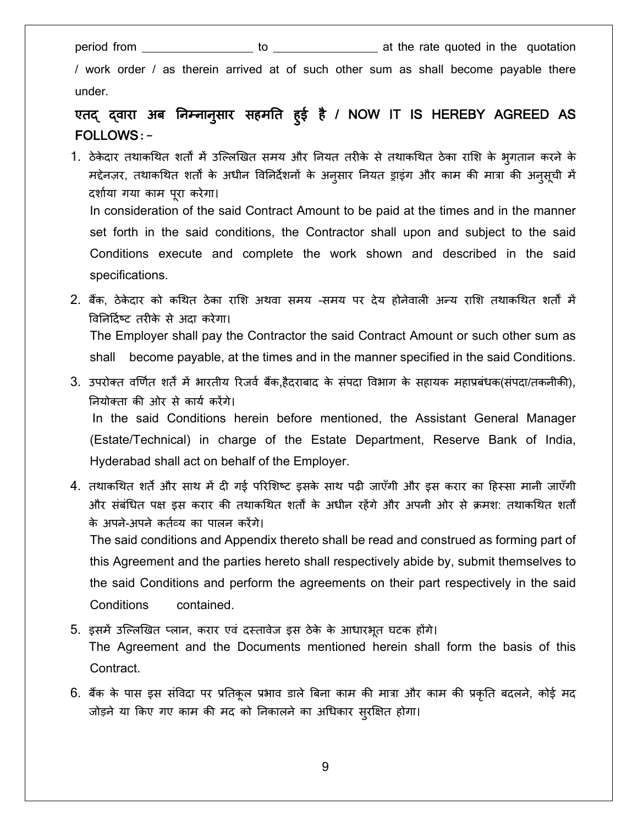specifications.

period from \_\_\_\_\_\_\_\_\_\_\_\_\_\_\_\_\_ to \_\_\_\_\_\_\_\_\_\_\_\_\_\_\_\_ at the rate quoted in the quotation

/ work order / as therein arrived at of such other sum as shall become payable there under.

#### एतद् द्वारा अब निम्नानुसार सहमति हुई है / NOW IT IS HEREBY AGREED AS ु FOLLOWS**:-**

1. ठेकेदार तथाकथित शर्तों में उल्लिखित समय और नियत तरीके से तथाकथित ठेका राशि के भुगतान करने के मद्देनज़र, तथाकथित शर्तों के अधीन विनिर्देशनों के अनुसार नियत ड्राइंग और काम की मात्रा की अनुसूची में दशार्या गया काम पू रा करेगा। In consideration of the said Contract Amount to be paid at the times and in the manner set forth in the said conditions, the Contractor shall upon and subject to the said Conditions execute and complete the work shown and described in the said

2. बैंक, ठेकेदार को कथित ठेका राशि अथवा समय -समय पर देय होनेवाली अन्य राशि तथाकथित शर्तों में �व�न�दर्ष् ट तर�के से अदा करेगा। The Employer shall pay the Contractor the said Contract Amount or such other sum as shall become payable, at the times and in the manner specified in the said Conditions.

- 3. उपरोक्त वर्णित शर्तें में भारतीय रिजर्व बैंक,हैदराबाद के संपदा विभाग के सहायक महाप्रबंधक(संपदा/तकनीकी), �नयोक्ता क� ओर से कायर् कर�गे। In the said Conditions herein before mentioned, the Assistant General Manager (Estate/Technical) in charge of the Estate Department, Reserve Bank of India, Hyderabad shall act on behalf of the Employer.
- 4. तथाकथित शर्ते और साथ में दी गई परिशिष्ट इसके साथ पढ़ी जाएँगी और इस करार का हिस्सा मानी जाएँगी और संबंधित पक्ष इस करार की तथाकथित शर्तों के अधीन रहेंगे और अपनी ओर से क्रमश: तथाकथित शर्तों के अपने-अपने कर्तव्य का पालन करेंगे।

The said conditions and Appendix thereto shall be read and construed as forming part of this Agreement and the parties hereto shall respectively abide by, submit themselves to the said Conditions and perform the agreements on their part respectively in the said Conditions contained.

- 5. इसमें उल्लिखित प्लान, करार एवं दस्तावेज इस ठेके के आधारभूत घटक होंगे। The Agreement and the Documents mentioned herein shall form the basis of this Contract.
- 6. बैंक के पास इस संविदा पर प्रतिकूल प्रभाव डाले बिना काम की मात्रा और काम की प्रकृति बदलने, कोई मद जोड़ने या किए गए काम की मद को निकालने का अधिकार सुरक्षित होगा।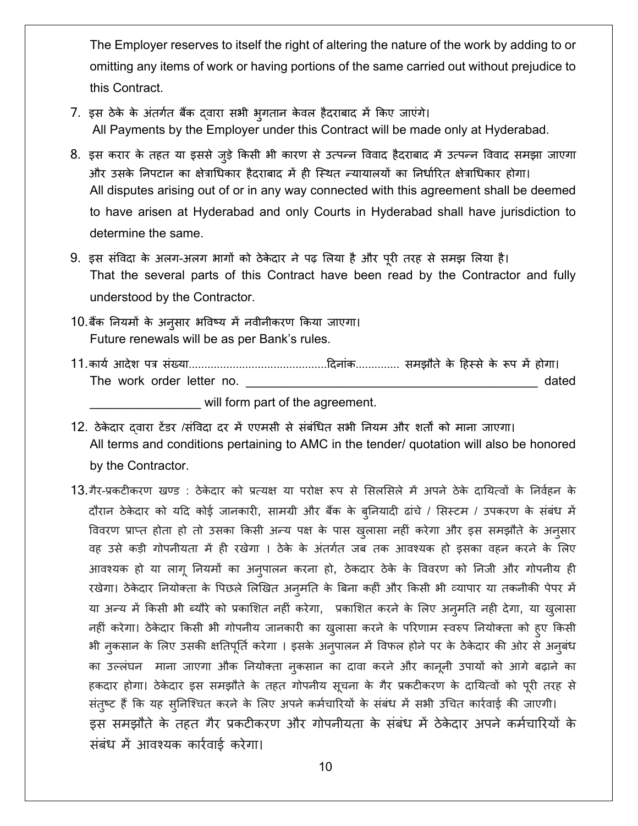The Employer reserves to itself the right of altering the nature of the work by adding to or omitting any items of work or having portions of the same carried out without prejudice to this Contract.

- 7. इस ठेके के अंतर्गत बैंक दवारा सभी भुगतान केवल हैदराबाद में किए जाएंगे। All Payments by the Employer under this Contract will be made only at Hyderabad.
- 8. इस करार के तहत या इससे जुड़े किसी भी कारण से उत्पन्न विवाद हैदराबाद में उत्पन्न विवाद समझा जाएगा और उसके निपटान का क्षेत्राधिकार हैदराबाद में ही स्थित न्यायालयों का निर्धारित क्षेत्राधिकार होगा। All disputes arising out of or in any way connected with this agreement shall be deemed to have arisen at Hyderabad and only Courts in Hyderabad shall have jurisdiction to determine the same.
- 9. इस संविदा के अलग-अलग भागों को ठेकेदार ने पढ़ लिया है और पूरी तरह से समझ लिया है। That the several parts of this Contract have been read by the Contractor and fully understood by the Contractor.
- 10.बैंक नियमों के अनुसार भविष्य में नवीनीकरण किया जाएगा। Future renewals will be as per Bank's rules.
- The work order letter no. dated

will form part of the agreement.

12. ठेकेदार दवारा टेंडर /संविदा दर में एएमसी से संबंधित सभी नियम और शर्तों को माना जाएगा। All terms and conditions pertaining to AMC in the tender/ quotation will also be honored by the Contractor.

13.गैर-प्रकटीकरण खण्ड : ठेकेदार को प्रत्यक्ष या परोक्ष रूप से सिलसिले में अपने ठेके दायित्वों के निर्वहन के दौरान ठेकेदार को यदि कोई जानकारी, सामग्री और बैंक के बुनियादी ढांचे / सिस्टम / उपकरण के संबंध में विवरण प्राप्त होता हो तो उसका किसी अन्य पक्ष के पास ख़ुलासा नहीं करेगा और इस समझौते के अनुसार वह उसे कड़ी गोपनीयता में ही रखेगा । ठेके के अंतर्गत जब तक आवश्यक हो इसका वहन करने के लिए आवश्यक हो या लागू नियमों का अन्पालन करना हो, ठेकदार ठेके के विवरण को निजी और गोपनीय ही रखेगा। ठेकेदार नियोक्ता के पिछले लिखित अन्मति के बिना कहीं और किसी भी व्यापार या तकनीकी पेपर में या अन्य में किसी भी ब्यौरे को प्रकाशित नहीं करेगा, प्रकाशित करने के लिए अन्**मति नही देगा, या खुलासा** नहीं करेगा। ठेकेदार किसी भी गोपनीय जानकारी का खुलासा करने के परिणाम स्वरुप नियोक्ता को हुए किसी भी नकसान के लिए उसकी क्षतिपूर्ति करेगा । इसके अनुपालन में विफल होने पर के ठेकेदार की ओर से अनुबंध का उल्लंघन माना जाएगा औक नियोक्ता नुकसान का दावा करने और कानूनी उपायों को आगे बढ़ाने का हकदार होगा। ठेकेदार इस समझौते के तहत गोपनीय सूचना के गैर प्रकटीकरण के दायित्वों को पूरी तरह से संतुष्ट हैं कि यह सुनिश्चित करने के लिए अपने कर्मचारियों के संबंध में सभी उचित कार्रवाई की जाएगी। इस समझौते के तहत गैर प्रकटीकरण और गोपनीयता के संबंध में ठेकेदार अपने कर्मचारियों के संबंध में आवश्यक कार्रवाई करेगा।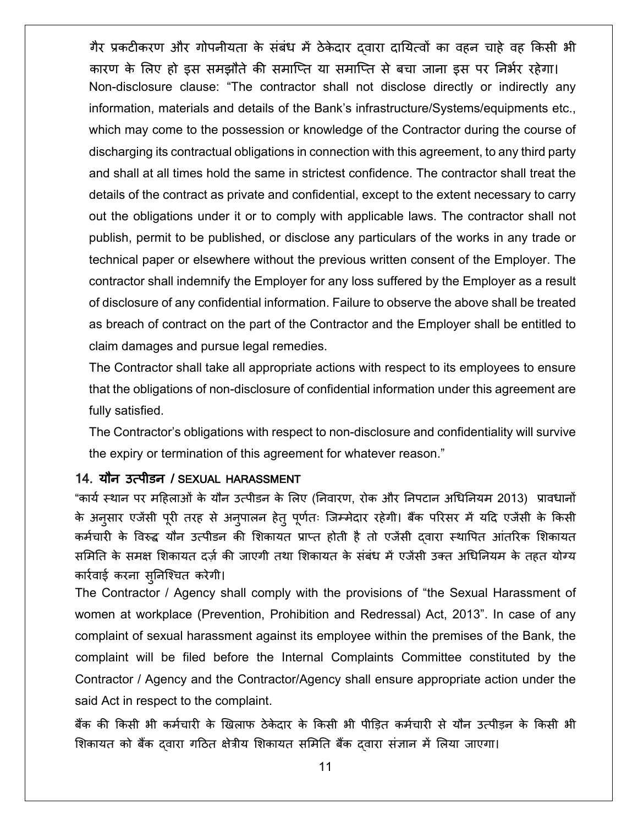गैर प्रकटीकरण और गोपनीयता के संबंध में ठेकेदार दवारा दायित्वों का वहन चाहे वह किसी भी कारण के लिए हो इस समझौते की समाप्ति या समाप्ति से बचा जाना इस पर निर्भर रहेगा। Non-disclosure clause: "The contractor shall not disclose directly or indirectly any information, materials and details of the Bank's infrastructure/Systems/equipments etc., which may come to the possession or knowledge of the Contractor during the course of discharging its contractual obligations in connection with this agreement, to any third party and shall at all times hold the same in strictest confidence. The contractor shall treat the details of the contract as private and confidential, except to the extent necessary to carry out the obligations under it or to comply with applicable laws. The contractor shall not publish, permit to be published, or disclose any particulars of the works in any trade or technical paper or elsewhere without the previous written consent of the Employer. The contractor shall indemnify the Employer for any loss suffered by the Employer as a result of disclosure of any confidential information. Failure to observe the above shall be treated as breach of contract on the part of the Contractor and the Employer shall be entitled to claim damages and pursue legal remedies.

The Contractor shall take all appropriate actions with respect to its employees to ensure that the obligations of non-disclosure of confidential information under this agreement are fully satisfied.

The Contractor's obligations with respect to non-disclosure and confidentiality will survive the expiry or termination of this agreement for whatever reason."

#### 14. यौन उत्पीडन / SEXUAL HARASSMENT

"कार्य स्थान पर महिलाओं के यौन उत्पीडन के लिए (निवारण, रोक और निपटान अधिनियम 2013) प्रावधानों के अनुसार एजेंसी पूरी तरह से अनुपालन हेतु पूर्णतः जिम्मेदार रहेगी। बैंक परिसर में यदि एजेंसी के किसी कर्मचारी के विरुद्ध यौन उत्पीडन की शिकायत प्राप्त होती है तो एजेंसी दवारा स्थापित आंतरिक शिकायत समिति के समक्ष शिकायत दर्ज़ की जाएगी तथा शिकायत के संबंध में एजेंसी उक्त अधिनियम के तहत योग्य कारर्वाई करना सु�निश्चत करेगी।

The Contractor / Agency shall comply with the provisions of "the Sexual Harassment of women at workplace (Prevention, Prohibition and Redressal) Act, 2013". In case of any complaint of sexual harassment against its employee within the premises of the Bank, the complaint will be filed before the Internal Complaints Committee constituted by the Contractor / Agency and the Contractor/Agency shall ensure appropriate action under the said Act in respect to the complaint.

बैंक की किसी भी कर्मचारी के खिलाफ ठेकेदार के किसी भी पीड़ित कर्मचारी से यौन उत्पीड़न के किसी भी शिकायत को बैंक द्वारा गठित क्षेत्रीय शिकायत समिति बैंक दवारा संज्ञान में लिया जाएगा।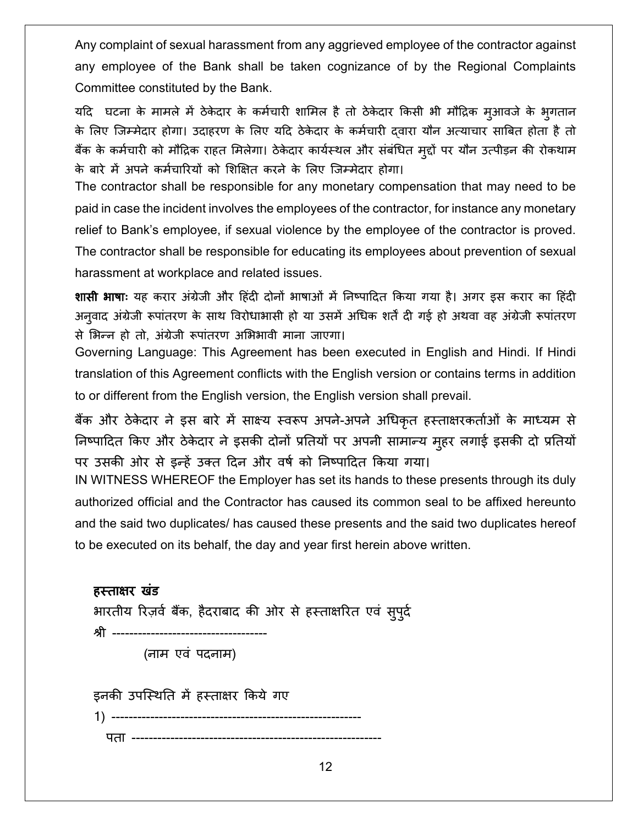Any complaint of sexual harassment from any aggrieved employee of the contractor against any employee of the Bank shall be taken cognizance of by the Regional Complaints Committee constituted by the Bank.

यदि घटना के मामले में ठेकेदार के कर्मचारी शामिल है तो ठेकेदार किसी भी मौद्रिक मुआवजे के भुगतान के लिए जिम्मेदार होगा। उदाहरण के लिए यदि ठेकेदार के कर्मचारी द्वारा यौन अत्याचार साबित होता है तो बैक के कर्मचारी को मौद्रिक राहत मिलेगा। ठेकेदार कार्यस्थल और सर्बाधेत मुद्दो पर यौन उत्पीड़न की रोकथाम के बारे में अपने कर्मचारियों को शिक्षित करने के लिए जिम्मेदार होगा।

The contractor shall be responsible for any monetary compensation that may need to be paid in case the incident involves the employees of the contractor, for instance any monetary relief to Bank's employee, if sexual violence by the employee of the contractor is proved. The contractor shall be responsible for educating its employees about prevention of sexual harassment at workplace and related issues.

**शासी भाषा**ः यह करार अंग्रेजी और हिंदी दोनों भाषाओं में निष्पादित किया गया है। अगर इस करार का हिंदी अनुवाद अंग्रेजी रूपांतरण के साथ विरोधाभासी हो या उसमें अधिक शर्ते दी गई हो अथवा वह अंग्रेजी रूपांतरण से �भन्न हो तो, अंग्रेजी रूपांतरण अ�भभावी माना जाएगा।

Governing Language: This Agreement has been executed in English and Hindi. If Hindi translation of this Agreement conflicts with the English version or contains terms in addition to or different from the English version, the English version shall prevail.

बैंक और ठेकेदार ने इस बारे में साक्ष्य स्वरूप अपने-अपने अधिकृत हस्ताक्षरकर्ताओं के माध्यम से निष्पादित किए और ठेकेदार ने इसकी दोनों प्रतियों पर अपनी सामान्य मुहर लगाई इसकी दो प्रतियों पर उसकी ओर से इन्हें उक्त दिन और वर्ष को निष्पादित किया गया।

IN WITNESS WHEREOF the Employer has set its hands to these presents through its duly authorized official and the Contractor has caused its common seal to be affixed hereunto and the said two duplicates/ has caused these presents and the said two duplicates hereof to be executed on its behalf, the day and year first herein above written.

# हस्ता�र खंड भारतीय रिज़र्व बैंक, हैदराबाद की ओर से हस्ताक्षरित एवं सुपुर्द श्री ---------------

(नाम एवं पदनाम)

इनकी उपस्थिति में हस्ताक्षर किये गए

1) ---------------------------------------------------------- पता ----------------------------------------------------------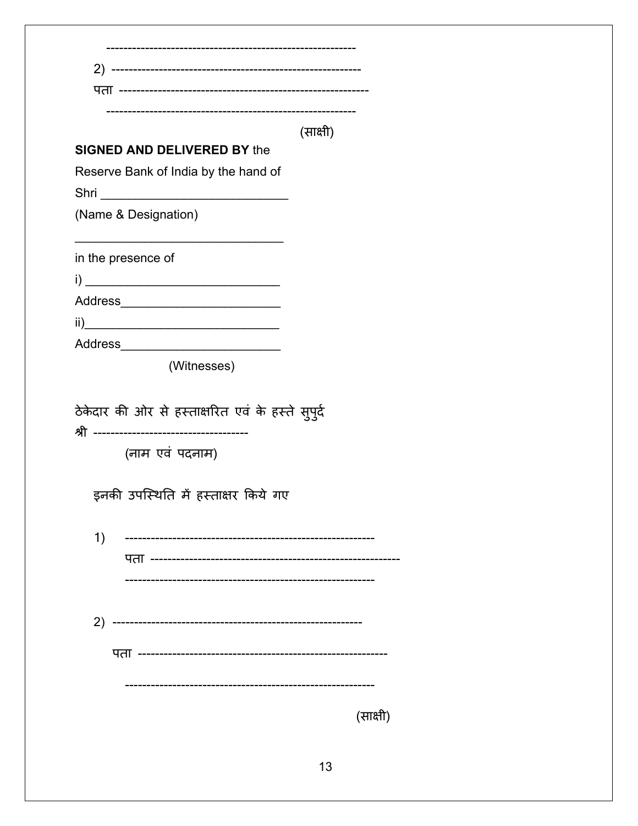|                                                        | (साक्षी) |          |
|--------------------------------------------------------|----------|----------|
| <b>SIGNED AND DELIVERED BY the</b>                     |          |          |
| Reserve Bank of India by the hand of                   |          |          |
| (Name & Designation)                                   |          |          |
|                                                        |          |          |
| in the presence of                                     |          |          |
|                                                        |          |          |
| Address_______________________________                 |          |          |
| $\overline{\mathbf{ii}}$                               |          |          |
| Address____________________________                    |          |          |
| (Witnesses)                                            |          |          |
| (नाम एवं पदनाम)<br>इनकी उपस्थिति में हस्ताक्षर किये गए |          |          |
|                                                        |          |          |
| 1)                                                     |          |          |
| पता -----------------------------------                |          |          |
|                                                        |          |          |
|                                                        |          |          |
| 2)                                                     |          |          |
|                                                        |          |          |
|                                                        |          |          |
|                                                        |          |          |
|                                                        |          | (साक्षी) |
|                                                        |          |          |
|                                                        | 13       |          |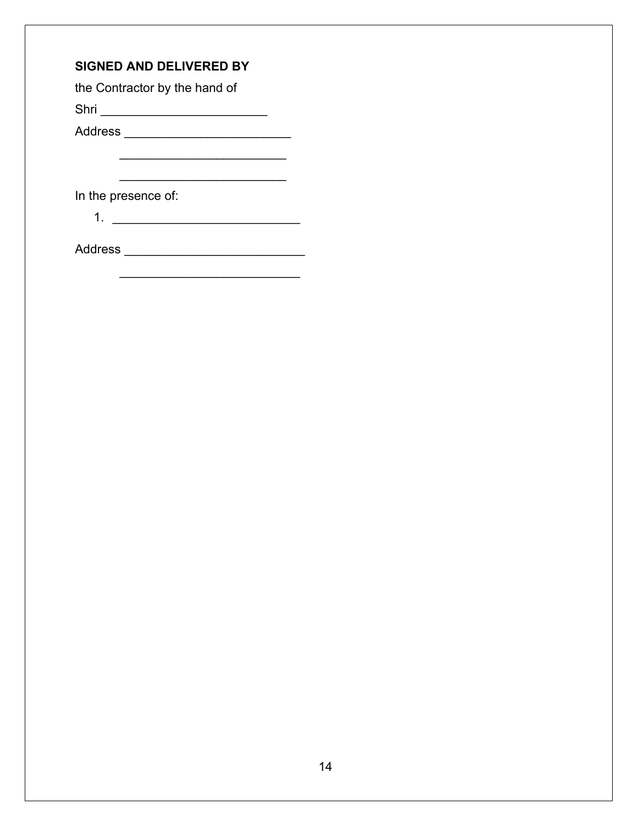## **SIGNED AND DELIVERED BY**

the Contractor by the hand of

Shri \_\_\_\_\_\_\_\_\_\_\_\_\_\_\_\_\_\_\_\_\_\_\_\_

Address \_\_\_\_\_\_\_\_\_\_\_\_\_\_\_\_\_\_\_\_\_\_\_\_

In the presence of:

1. \_\_\_\_\_\_\_\_\_\_\_\_\_\_\_\_\_\_\_\_\_\_\_\_\_\_\_

Address \_\_\_\_\_\_\_\_\_\_\_\_\_\_\_\_\_\_\_\_\_\_\_\_\_\_

\_\_\_\_\_\_\_\_\_\_\_\_\_\_\_\_\_\_\_\_\_\_\_\_\_\_

\_\_\_\_\_\_\_\_\_\_\_\_\_\_\_\_\_\_\_\_\_\_\_\_

 $\overline{\phantom{a}}$  , which is a set of the set of the set of the set of the set of the set of the set of the set of the set of the set of the set of the set of the set of the set of the set of the set of the set of the set of th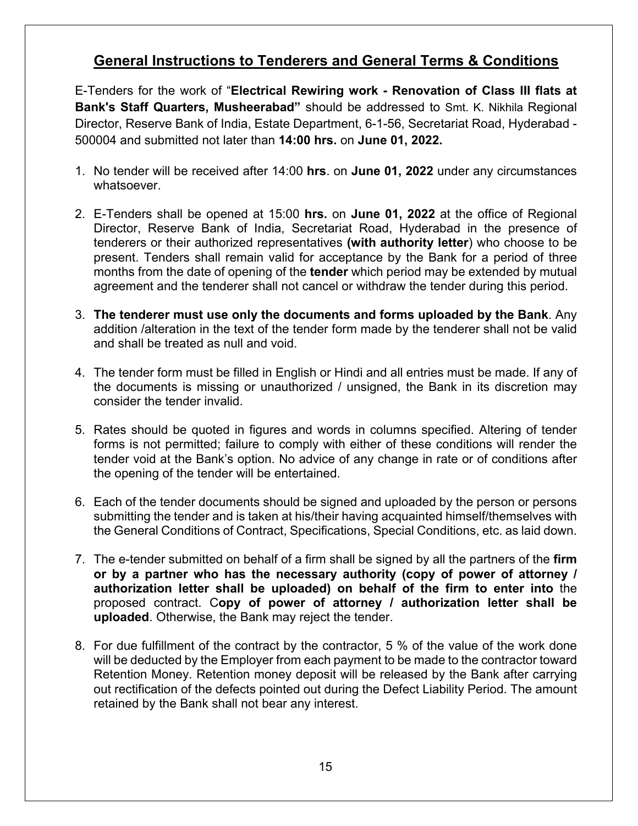## **General Instructions to Tenderers and General Terms & Conditions**

E-Tenders for the work of "**Electrical Rewiring work - Renovation of Class III flats at Bank's Staff Quarters, Musheerabad"** should be addressed to Smt. K. Nikhila Regional Director, Reserve Bank of India, Estate Department, 6-1-56, Secretariat Road, Hyderabad - 500004 and submitted not later than **14:00 hrs.** on **June 01, 2022.**

- 1. No tender will be received after 14:00 **hrs**. on **June 01, 2022** under any circumstances whatsoever.
- 2. E-Tenders shall be opened at 15:00 **hrs.** on **June 01, 2022** at the office of Regional Director, Reserve Bank of India, Secretariat Road, Hyderabad in the presence of tenderers or their authorized representatives **(with authority letter**) who choose to be present. Tenders shall remain valid for acceptance by the Bank for a period of three months from the date of opening of the **tender** which period may be extended by mutual agreement and the tenderer shall not cancel or withdraw the tender during this period.
- 3. **The tenderer must use only the documents and forms uploaded by the Bank**. Any addition /alteration in the text of the tender form made by the tenderer shall not be valid and shall be treated as null and void.
- 4. The tender form must be filled in English or Hindi and all entries must be made. If any of the documents is missing or unauthorized / unsigned, the Bank in its discretion may consider the tender invalid.
- 5. Rates should be quoted in figures and words in columns specified. Altering of tender forms is not permitted; failure to comply with either of these conditions will render the tender void at the Bank's option. No advice of any change in rate or of conditions after the opening of the tender will be entertained.
- 6. Each of the tender documents should be signed and uploaded by the person or persons submitting the tender and is taken at his/their having acquainted himself/themselves with the General Conditions of Contract, Specifications, Special Conditions, etc. as laid down.
- 7. The e-tender submitted on behalf of a firm shall be signed by all the partners of the **firm or by a partner who has the necessary authority (copy of power of attorney / authorization letter shall be uploaded) on behalf of the firm to enter into** the proposed contract. C**opy of power of attorney / authorization letter shall be uploaded**. Otherwise, the Bank may reject the tender.
- 8. For due fulfillment of the contract by the contractor, 5 % of the value of the work done will be deducted by the Employer from each payment to be made to the contractor toward Retention Money. Retention money deposit will be released by the Bank after carrying out rectification of the defects pointed out during the Defect Liability Period. The amount retained by the Bank shall not bear any interest.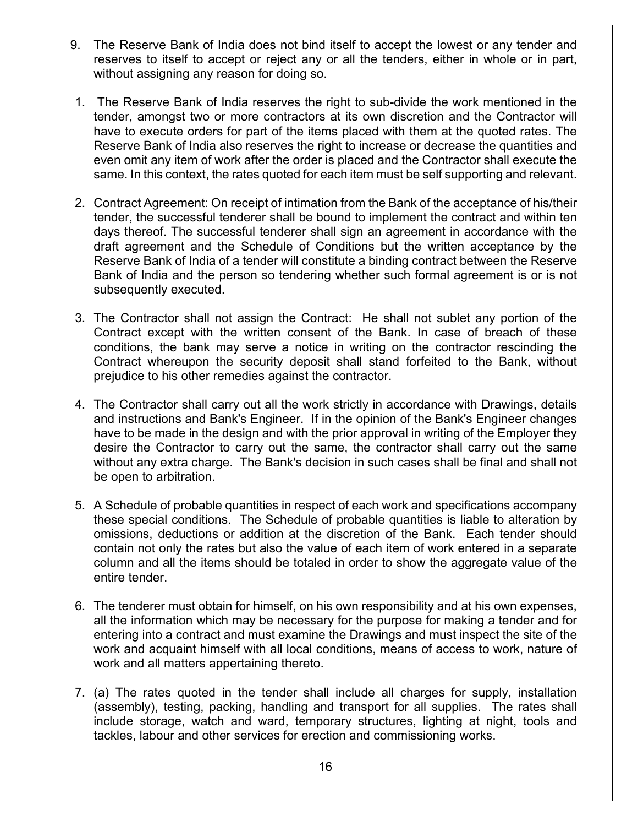- 9. The Reserve Bank of India does not bind itself to accept the lowest or any tender and reserves to itself to accept or reject any or all the tenders, either in whole or in part, without assigning any reason for doing so.
- 1. The Reserve Bank of India reserves the right to sub-divide the work mentioned in the tender, amongst two or more contractors at its own discretion and the Contractor will have to execute orders for part of the items placed with them at the quoted rates. The Reserve Bank of India also reserves the right to increase or decrease the quantities and even omit any item of work after the order is placed and the Contractor shall execute the same. In this context, the rates quoted for each item must be self supporting and relevant.
- 2. Contract Agreement: On receipt of intimation from the Bank of the acceptance of his/their tender, the successful tenderer shall be bound to implement the contract and within ten days thereof. The successful tenderer shall sign an agreement in accordance with the draft agreement and the Schedule of Conditions but the written acceptance by the Reserve Bank of India of a tender will constitute a binding contract between the Reserve Bank of India and the person so tendering whether such formal agreement is or is not subsequently executed.
- 3. The Contractor shall not assign the Contract: He shall not sublet any portion of the Contract except with the written consent of the Bank. In case of breach of these conditions, the bank may serve a notice in writing on the contractor rescinding the Contract whereupon the security deposit shall stand forfeited to the Bank, without prejudice to his other remedies against the contractor.
- 4. The Contractor shall carry out all the work strictly in accordance with Drawings, details and instructions and Bank's Engineer. If in the opinion of the Bank's Engineer changes have to be made in the design and with the prior approval in writing of the Employer they desire the Contractor to carry out the same, the contractor shall carry out the same without any extra charge. The Bank's decision in such cases shall be final and shall not be open to arbitration.
- 5. A Schedule of probable quantities in respect of each work and specifications accompany these special conditions. The Schedule of probable quantities is liable to alteration by omissions, deductions or addition at the discretion of the Bank. Each tender should contain not only the rates but also the value of each item of work entered in a separate column and all the items should be totaled in order to show the aggregate value of the entire tender.
- 6. The tenderer must obtain for himself, on his own responsibility and at his own expenses, all the information which may be necessary for the purpose for making a tender and for entering into a contract and must examine the Drawings and must inspect the site of the work and acquaint himself with all local conditions, means of access to work, nature of work and all matters appertaining thereto.
- 7. (a) The rates quoted in the tender shall include all charges for supply, installation (assembly), testing, packing, handling and transport for all supplies. The rates shall include storage, watch and ward, temporary structures, lighting at night, tools and tackles, labour and other services for erection and commissioning works.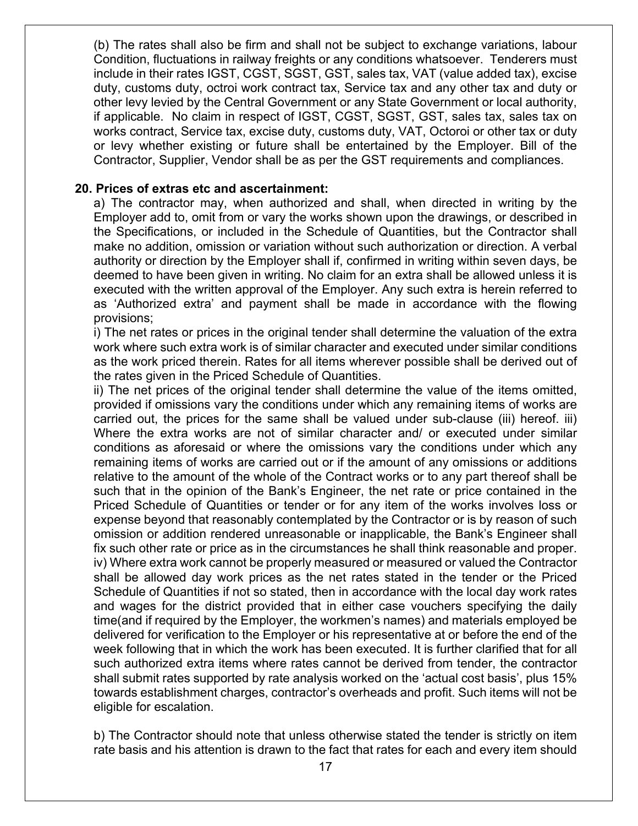(b) The rates shall also be firm and shall not be subject to exchange variations, labour Condition, fluctuations in railway freights or any conditions whatsoever. Tenderers must include in their rates IGST, CGST, SGST, GST, sales tax, VAT (value added tax), excise duty, customs duty, octroi work contract tax, Service tax and any other tax and duty or other levy levied by the Central Government or any State Government or local authority, if applicable. No claim in respect of IGST, CGST, SGST, GST, sales tax, sales tax on works contract, Service tax, excise duty, customs duty, VAT, Octoroi or other tax or duty or levy whether existing or future shall be entertained by the Employer. Bill of the Contractor, Supplier, Vendor shall be as per the GST requirements and compliances.

#### **20. Prices of extras etc and ascertainment:**

a) The contractor may, when authorized and shall, when directed in writing by the Employer add to, omit from or vary the works shown upon the drawings, or described in the Specifications, or included in the Schedule of Quantities, but the Contractor shall make no addition, omission or variation without such authorization or direction. A verbal authority or direction by the Employer shall if, confirmed in writing within seven days, be deemed to have been given in writing. No claim for an extra shall be allowed unless it is executed with the written approval of the Employer. Any such extra is herein referred to as 'Authorized extra' and payment shall be made in accordance with the flowing provisions;

i) The net rates or prices in the original tender shall determine the valuation of the extra work where such extra work is of similar character and executed under similar conditions as the work priced therein. Rates for all items wherever possible shall be derived out of the rates given in the Priced Schedule of Quantities.

ii) The net prices of the original tender shall determine the value of the items omitted, provided if omissions vary the conditions under which any remaining items of works are carried out, the prices for the same shall be valued under sub-clause (iii) hereof. iii) Where the extra works are not of similar character and/ or executed under similar conditions as aforesaid or where the omissions vary the conditions under which any remaining items of works are carried out or if the amount of any omissions or additions relative to the amount of the whole of the Contract works or to any part thereof shall be such that in the opinion of the Bank's Engineer, the net rate or price contained in the Priced Schedule of Quantities or tender or for any item of the works involves loss or expense beyond that reasonably contemplated by the Contractor or is by reason of such omission or addition rendered unreasonable or inapplicable, the Bank's Engineer shall fix such other rate or price as in the circumstances he shall think reasonable and proper. iv) Where extra work cannot be properly measured or measured or valued the Contractor shall be allowed day work prices as the net rates stated in the tender or the Priced Schedule of Quantities if not so stated, then in accordance with the local day work rates and wages for the district provided that in either case vouchers specifying the daily time(and if required by the Employer, the workmen's names) and materials employed be delivered for verification to the Employer or his representative at or before the end of the week following that in which the work has been executed. It is further clarified that for all such authorized extra items where rates cannot be derived from tender, the contractor shall submit rates supported by rate analysis worked on the 'actual cost basis', plus 15% towards establishment charges, contractor's overheads and profit. Such items will not be eligible for escalation.

b) The Contractor should note that unless otherwise stated the tender is strictly on item rate basis and his attention is drawn to the fact that rates for each and every item should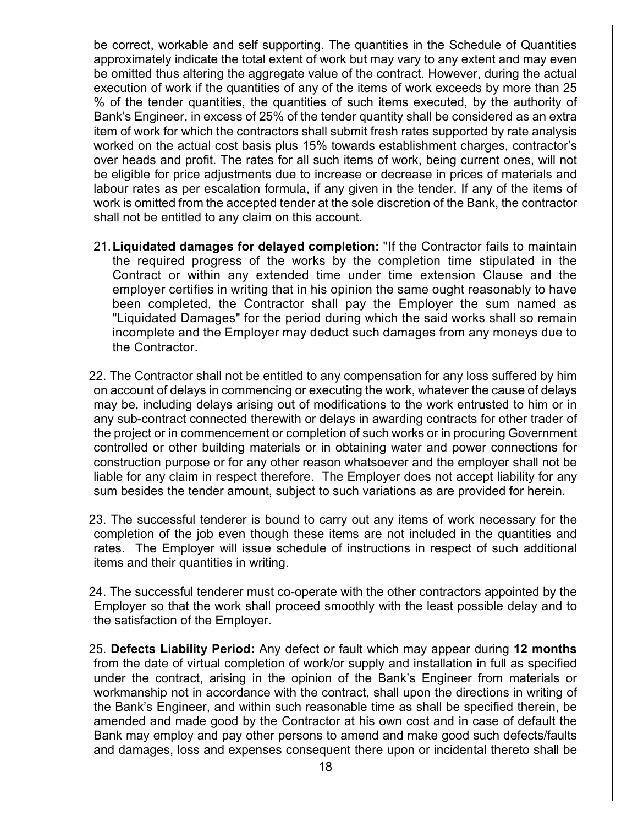be correct, workable and self supporting. The quantities in the Schedule of Quantities approximately indicate the total extent of work but may vary to any extent and may even be omitted thus altering the aggregate value of the contract. However, during the actual execution of work if the quantities of any of the items of work exceeds by more than 25 % of the tender quantities, the quantities of such items executed, by the authority of Bank's Engineer, in excess of 25% of the tender quantity shall be considered as an extra item of work for which the contractors shall submit fresh rates supported by rate analysis worked on the actual cost basis plus 15% towards establishment charges, contractor's over heads and profit. The rates for all such items of work, being current ones, will not be eligible for price adjustments due to increase or decrease in prices of materials and labour rates as per escalation formula, if any given in the tender. If any of the items of work is omitted from the accepted tender at the sole discretion of the Bank, the contractor shall not be entitled to any claim on this account.

- 21.**Liquidated damages for delayed completion:** "If the Contractor fails to maintain the required progress of the works by the completion time stipulated in the Contract or within any extended time under time extension Clause and the employer certifies in writing that in his opinion the same ought reasonably to have been completed, the Contractor shall pay the Employer the sum named as "Liquidated Damages" for the period during which the said works shall so remain incomplete and the Employer may deduct such damages from any moneys due to the Contractor.
- 22. The Contractor shall not be entitled to any compensation for any loss suffered by him on account of delays in commencing or executing the work, whatever the cause of delays may be, including delays arising out of modifications to the work entrusted to him or in any sub-contract connected therewith or delays in awarding contracts for other trader of the project or in commencement or completion of such works or in procuring Government controlled or other building materials or in obtaining water and power connections for construction purpose or for any other reason whatsoever and the employer shall not be liable for any claim in respect therefore. The Employer does not accept liability for any sum besides the tender amount, subject to such variations as are provided for herein.
- 23. The successful tenderer is bound to carry out any items of work necessary for the completion of the job even though these items are not included in the quantities and rates. The Employer will issue schedule of instructions in respect of such additional items and their quantities in writing.
- 24. The successful tenderer must co-operate with the other contractors appointed by the Employer so that the work shall proceed smoothly with the least possible delay and to the satisfaction of the Employer.
- 25. **Defects Liability Period:** Any defect or fault which may appear during **12 months** from the date of virtual completion of work/or supply and installation in full as specified under the contract, arising in the opinion of the Bank's Engineer from materials or workmanship not in accordance with the contract, shall upon the directions in writing of the Bank's Engineer, and within such reasonable time as shall be specified therein, be amended and made good by the Contractor at his own cost and in case of default the Bank may employ and pay other persons to amend and make good such defects/faults and damages, loss and expenses consequent there upon or incidental thereto shall be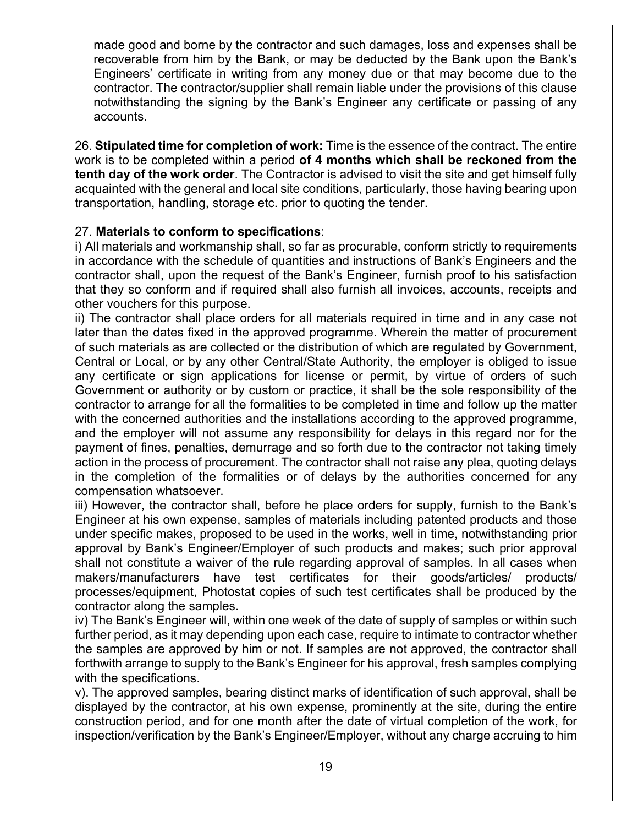made good and borne by the contractor and such damages, loss and expenses shall be recoverable from him by the Bank, or may be deducted by the Bank upon the Bank's Engineers' certificate in writing from any money due or that may become due to the contractor. The contractor/supplier shall remain liable under the provisions of this clause notwithstanding the signing by the Bank's Engineer any certificate or passing of any accounts.

26. **Stipulated time for completion of work:** Time is the essence of the contract. The entire work is to be completed within a period **of 4 months which shall be reckoned from the tenth day of the work order**. The Contractor is advised to visit the site and get himself fully acquainted with the general and local site conditions, particularly, those having bearing upon transportation, handling, storage etc. prior to quoting the tender.

#### 27. **Materials to conform to specifications**:

i) All materials and workmanship shall, so far as procurable, conform strictly to requirements in accordance with the schedule of quantities and instructions of Bank's Engineers and the contractor shall, upon the request of the Bank's Engineer, furnish proof to his satisfaction that they so conform and if required shall also furnish all invoices, accounts, receipts and other vouchers for this purpose.

ii) The contractor shall place orders for all materials required in time and in any case not later than the dates fixed in the approved programme. Wherein the matter of procurement of such materials as are collected or the distribution of which are regulated by Government, Central or Local, or by any other Central/State Authority, the employer is obliged to issue any certificate or sign applications for license or permit, by virtue of orders of such Government or authority or by custom or practice, it shall be the sole responsibility of the contractor to arrange for all the formalities to be completed in time and follow up the matter with the concerned authorities and the installations according to the approved programme, and the employer will not assume any responsibility for delays in this regard nor for the payment of fines, penalties, demurrage and so forth due to the contractor not taking timely action in the process of procurement. The contractor shall not raise any plea, quoting delays in the completion of the formalities or of delays by the authorities concerned for any compensation whatsoever.

iii) However, the contractor shall, before he place orders for supply, furnish to the Bank's Engineer at his own expense, samples of materials including patented products and those under specific makes, proposed to be used in the works, well in time, notwithstanding prior approval by Bank's Engineer/Employer of such products and makes; such prior approval shall not constitute a waiver of the rule regarding approval of samples. In all cases when makers/manufacturers have test certificates for their goods/articles/ products/ processes/equipment, Photostat copies of such test certificates shall be produced by the contractor along the samples.

iv) The Bank's Engineer will, within one week of the date of supply of samples or within such further period, as it may depending upon each case, require to intimate to contractor whether the samples are approved by him or not. If samples are not approved, the contractor shall forthwith arrange to supply to the Bank's Engineer for his approval, fresh samples complying with the specifications.

v). The approved samples, bearing distinct marks of identification of such approval, shall be displayed by the contractor, at his own expense, prominently at the site, during the entire construction period, and for one month after the date of virtual completion of the work, for inspection/verification by the Bank's Engineer/Employer, without any charge accruing to him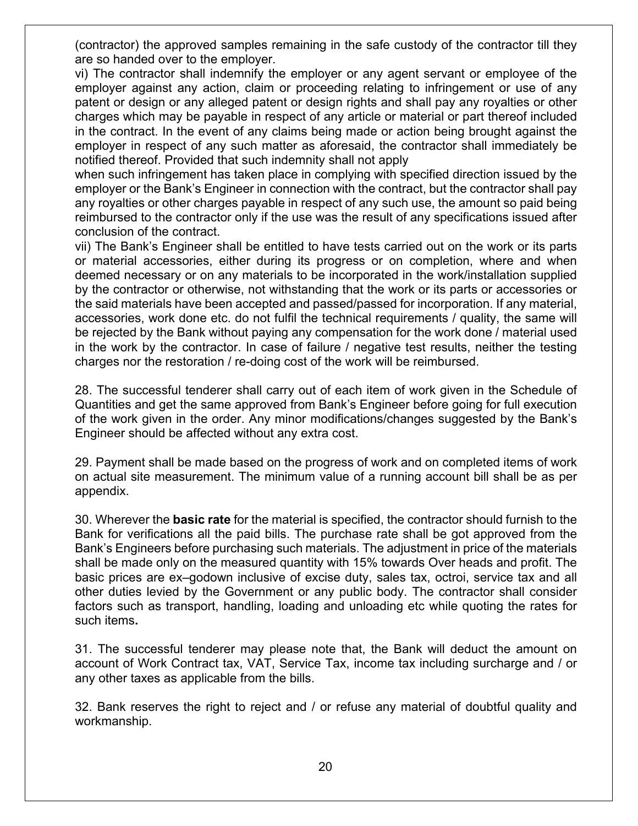(contractor) the approved samples remaining in the safe custody of the contractor till they are so handed over to the employer.

vi) The contractor shall indemnify the employer or any agent servant or employee of the employer against any action, claim or proceeding relating to infringement or use of any patent or design or any alleged patent or design rights and shall pay any royalties or other charges which may be payable in respect of any article or material or part thereof included in the contract. In the event of any claims being made or action being brought against the employer in respect of any such matter as aforesaid, the contractor shall immediately be notified thereof. Provided that such indemnity shall not apply

when such infringement has taken place in complying with specified direction issued by the employer or the Bank's Engineer in connection with the contract, but the contractor shall pay any royalties or other charges payable in respect of any such use, the amount so paid being reimbursed to the contractor only if the use was the result of any specifications issued after conclusion of the contract.

vii) The Bank's Engineer shall be entitled to have tests carried out on the work or its parts or material accessories, either during its progress or on completion, where and when deemed necessary or on any materials to be incorporated in the work/installation supplied by the contractor or otherwise, not withstanding that the work or its parts or accessories or the said materials have been accepted and passed/passed for incorporation. If any material, accessories, work done etc. do not fulfil the technical requirements / quality, the same will be rejected by the Bank without paying any compensation for the work done / material used in the work by the contractor. In case of failure / negative test results, neither the testing charges nor the restoration / re-doing cost of the work will be reimbursed.

28. The successful tenderer shall carry out of each item of work given in the Schedule of Quantities and get the same approved from Bank's Engineer before going for full execution of the work given in the order. Any minor modifications/changes suggested by the Bank's Engineer should be affected without any extra cost.

29. Payment shall be made based on the progress of work and on completed items of work on actual site measurement. The minimum value of a running account bill shall be as per appendix.

30. Wherever the **basic rate** for the material is specified, the contractor should furnish to the Bank for verifications all the paid bills. The purchase rate shall be got approved from the Bank's Engineers before purchasing such materials. The adjustment in price of the materials shall be made only on the measured quantity with 15% towards Over heads and profit. The basic prices are ex–godown inclusive of excise duty, sales tax, octroi, service tax and all other duties levied by the Government or any public body. The contractor shall consider factors such as transport, handling, loading and unloading etc while quoting the rates for such items**.**

31. The successful tenderer may please note that, the Bank will deduct the amount on account of Work Contract tax, VAT, Service Tax, income tax including surcharge and / or any other taxes as applicable from the bills.

32. Bank reserves the right to reject and / or refuse any material of doubtful quality and workmanship.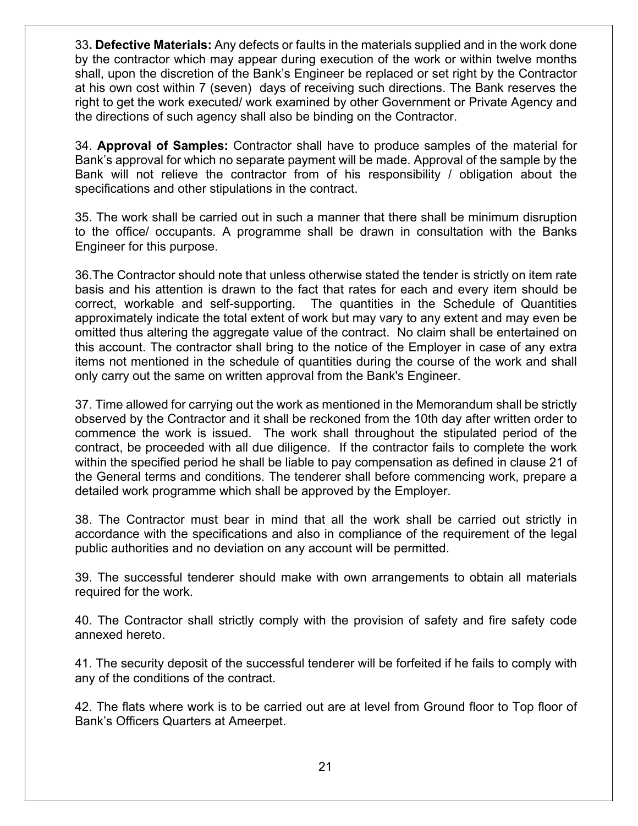33**. Defective Materials:** Any defects or faults in the materials supplied and in the work done by the contractor which may appear during execution of the work or within twelve months shall, upon the discretion of the Bank's Engineer be replaced or set right by the Contractor at his own cost within 7 (seven) days of receiving such directions. The Bank reserves the right to get the work executed/ work examined by other Government or Private Agency and the directions of such agency shall also be binding on the Contractor.

34. **Approval of Samples:** Contractor shall have to produce samples of the material for Bank's approval for which no separate payment will be made. Approval of the sample by the Bank will not relieve the contractor from of his responsibility / obligation about the specifications and other stipulations in the contract.

35. The work shall be carried out in such a manner that there shall be minimum disruption to the office/ occupants. A programme shall be drawn in consultation with the Banks Engineer for this purpose.

36.The Contractor should note that unless otherwise stated the tender is strictly on item rate basis and his attention is drawn to the fact that rates for each and every item should be correct, workable and self-supporting. The quantities in the Schedule of Quantities approximately indicate the total extent of work but may vary to any extent and may even be omitted thus altering the aggregate value of the contract. No claim shall be entertained on this account. The contractor shall bring to the notice of the Employer in case of any extra items not mentioned in the schedule of quantities during the course of the work and shall only carry out the same on written approval from the Bank's Engineer.

37. Time allowed for carrying out the work as mentioned in the Memorandum shall be strictly observed by the Contractor and it shall be reckoned from the 10th day after written order to commence the work is issued. The work shall throughout the stipulated period of the contract, be proceeded with all due diligence. If the contractor fails to complete the work within the specified period he shall be liable to pay compensation as defined in clause 21 of the General terms and conditions. The tenderer shall before commencing work, prepare a detailed work programme which shall be approved by the Employer.

38. The Contractor must bear in mind that all the work shall be carried out strictly in accordance with the specifications and also in compliance of the requirement of the legal public authorities and no deviation on any account will be permitted.

39. The successful tenderer should make with own arrangements to obtain all materials required for the work.

40. The Contractor shall strictly comply with the provision of safety and fire safety code annexed hereto.

41. The security deposit of the successful tenderer will be forfeited if he fails to comply with any of the conditions of the contract.

42. The flats where work is to be carried out are at level from Ground floor to Top floor of Bank's Officers Quarters at Ameerpet.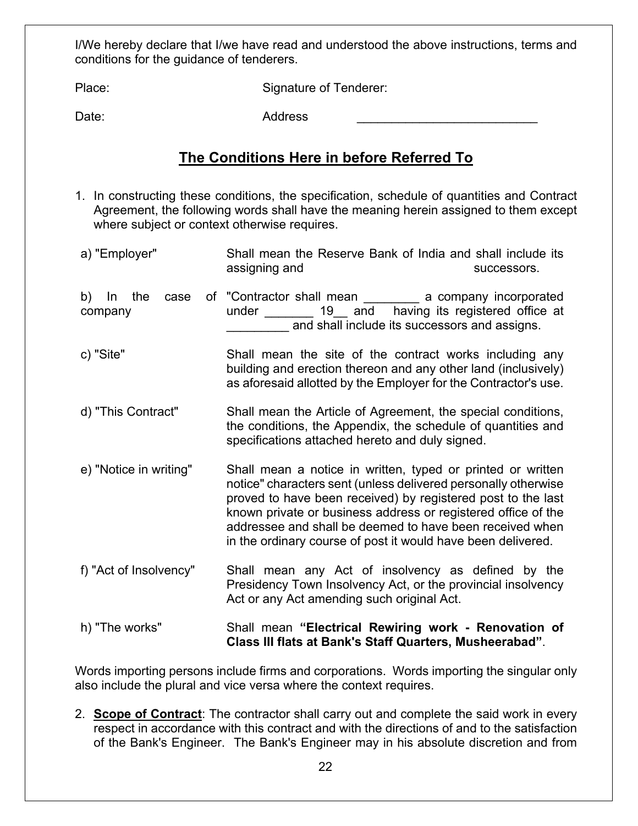I/We hereby declare that I/we have read and understood the above instructions, terms and conditions for the guidance of tenderers.

Place: Signature of Tenderer:

Date: Address \_\_\_\_\_\_\_\_\_\_\_\_\_\_\_\_\_\_\_\_\_\_\_\_\_\_

# **The Conditions Here in before Referred To**

- 1. In constructing these conditions, the specification, schedule of quantities and Contract Agreement, the following words shall have the meaning herein assigned to them except where subject or context otherwise requires.
- a) "Employer" Shall mean the Reserve Bank of India and shall include its assigning and successors. b) In the case of "Contractor shall mean \_\_\_\_\_\_\_\_ a company incorporated company under and having its registered office at and shall include its successors and assigns. c) "Site" Shall mean the site of the contract works including any building and erection thereon and any other land (inclusively) as aforesaid allotted by the Employer for the Contractor's use. d) "This Contract" Shall mean the Article of Agreement, the special conditions, the conditions, the Appendix, the schedule of quantities and specifications attached hereto and duly signed. e) "Notice in writing" Shall mean a notice in written, typed or printed or written notice" characters sent (unless delivered personally otherwise proved to have been received) by registered post to the last known private or business address or registered office of the addressee and shall be deemed to have been received when in the ordinary course of post it would have been delivered. f) "Act of Insolvency" Shall mean any Act of insolvency as defined by the Presidency Town Insolvency Act, or the provincial insolvency Act or any Act amending such original Act. h) "The works" Shall mean **"Electrical Rewiring work - Renovation of Class III flats at Bank's Staff Quarters, Musheerabad"**.

Words importing persons include firms and corporations. Words importing the singular only also include the plural and vice versa where the context requires.

2. **Scope of Contract**: The contractor shall carry out and complete the said work in every respect in accordance with this contract and with the directions of and to the satisfaction of the Bank's Engineer. The Bank's Engineer may in his absolute discretion and from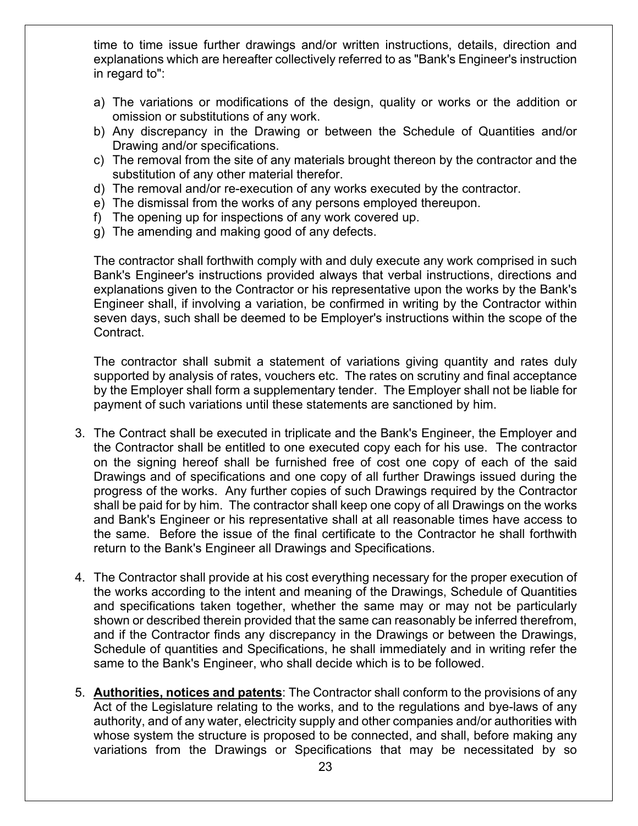time to time issue further drawings and/or written instructions, details, direction and explanations which are hereafter collectively referred to as "Bank's Engineer's instruction in regard to":

- a) The variations or modifications of the design, quality or works or the addition or omission or substitutions of any work.
- b) Any discrepancy in the Drawing or between the Schedule of Quantities and/or Drawing and/or specifications.
- c) The removal from the site of any materials brought thereon by the contractor and the substitution of any other material therefor.
- d) The removal and/or re-execution of any works executed by the contractor.
- e) The dismissal from the works of any persons employed thereupon.
- f) The opening up for inspections of any work covered up.
- g) The amending and making good of any defects.

The contractor shall forthwith comply with and duly execute any work comprised in such Bank's Engineer's instructions provided always that verbal instructions, directions and explanations given to the Contractor or his representative upon the works by the Bank's Engineer shall, if involving a variation, be confirmed in writing by the Contractor within seven days, such shall be deemed to be Employer's instructions within the scope of the Contract.

The contractor shall submit a statement of variations giving quantity and rates duly supported by analysis of rates, vouchers etc. The rates on scrutiny and final acceptance by the Employer shall form a supplementary tender. The Employer shall not be liable for payment of such variations until these statements are sanctioned by him.

- 3. The Contract shall be executed in triplicate and the Bank's Engineer, the Employer and the Contractor shall be entitled to one executed copy each for his use. The contractor on the signing hereof shall be furnished free of cost one copy of each of the said Drawings and of specifications and one copy of all further Drawings issued during the progress of the works. Any further copies of such Drawings required by the Contractor shall be paid for by him. The contractor shall keep one copy of all Drawings on the works and Bank's Engineer or his representative shall at all reasonable times have access to the same. Before the issue of the final certificate to the Contractor he shall forthwith return to the Bank's Engineer all Drawings and Specifications.
- 4. The Contractor shall provide at his cost everything necessary for the proper execution of the works according to the intent and meaning of the Drawings, Schedule of Quantities and specifications taken together, whether the same may or may not be particularly shown or described therein provided that the same can reasonably be inferred therefrom, and if the Contractor finds any discrepancy in the Drawings or between the Drawings, Schedule of quantities and Specifications, he shall immediately and in writing refer the same to the Bank's Engineer, who shall decide which is to be followed.
- 5. **Authorities, notices and patents**: The Contractor shall conform to the provisions of any Act of the Legislature relating to the works, and to the regulations and bye-laws of any authority, and of any water, electricity supply and other companies and/or authorities with whose system the structure is proposed to be connected, and shall, before making any variations from the Drawings or Specifications that may be necessitated by so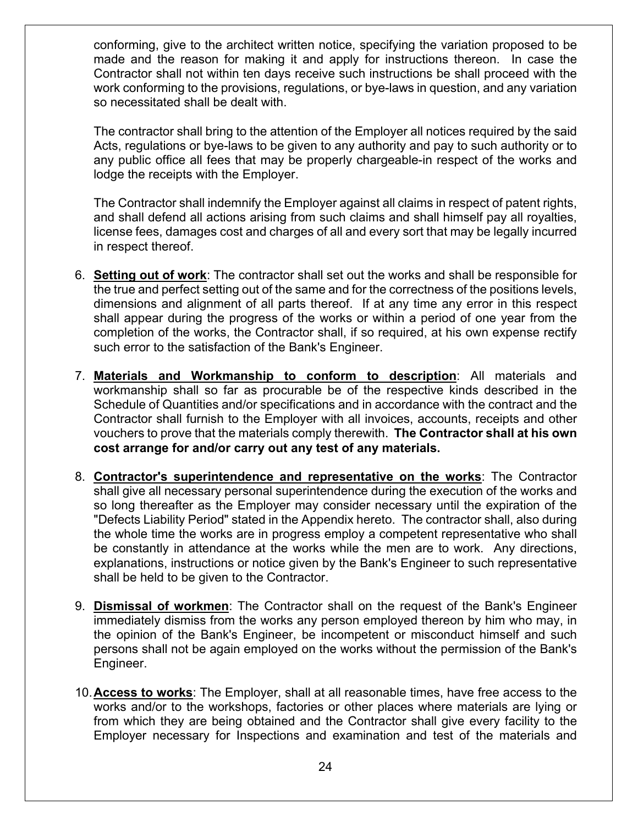conforming, give to the architect written notice, specifying the variation proposed to be made and the reason for making it and apply for instructions thereon. In case the Contractor shall not within ten days receive such instructions be shall proceed with the work conforming to the provisions, regulations, or bye-laws in question, and any variation so necessitated shall be dealt with.

The contractor shall bring to the attention of the Employer all notices required by the said Acts, regulations or bye-laws to be given to any authority and pay to such authority or to any public office all fees that may be properly chargeable-in respect of the works and lodge the receipts with the Employer.

The Contractor shall indemnify the Employer against all claims in respect of patent rights, and shall defend all actions arising from such claims and shall himself pay all royalties, license fees, damages cost and charges of all and every sort that may be legally incurred in respect thereof.

- 6. **Setting out of work**: The contractor shall set out the works and shall be responsible for the true and perfect setting out of the same and for the correctness of the positions levels, dimensions and alignment of all parts thereof. If at any time any error in this respect shall appear during the progress of the works or within a period of one year from the completion of the works, the Contractor shall, if so required, at his own expense rectify such error to the satisfaction of the Bank's Engineer.
- 7. **Materials and Workmanship to conform to description**: All materials and workmanship shall so far as procurable be of the respective kinds described in the Schedule of Quantities and/or specifications and in accordance with the contract and the Contractor shall furnish to the Employer with all invoices, accounts, receipts and other vouchers to prove that the materials comply therewith. **The Contractor shall at his own cost arrange for and/or carry out any test of any materials.**
- 8. **Contractor's superintendence and representative on the works**: The Contractor shall give all necessary personal superintendence during the execution of the works and so long thereafter as the Employer may consider necessary until the expiration of the "Defects Liability Period" stated in the Appendix hereto. The contractor shall, also during the whole time the works are in progress employ a competent representative who shall be constantly in attendance at the works while the men are to work. Any directions, explanations, instructions or notice given by the Bank's Engineer to such representative shall be held to be given to the Contractor.
- 9. **Dismissal of workmen**: The Contractor shall on the request of the Bank's Engineer immediately dismiss from the works any person employed thereon by him who may, in the opinion of the Bank's Engineer, be incompetent or misconduct himself and such persons shall not be again employed on the works without the permission of the Bank's Engineer.
- 10.**Access to works**: The Employer, shall at all reasonable times, have free access to the works and/or to the workshops, factories or other places where materials are lying or from which they are being obtained and the Contractor shall give every facility to the Employer necessary for Inspections and examination and test of the materials and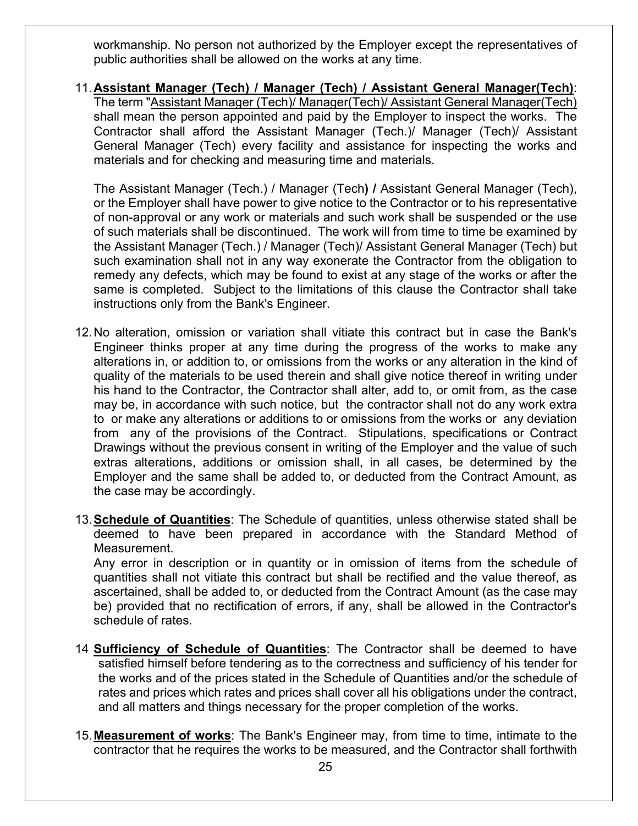workmanship. No person not authorized by the Employer except the representatives of public authorities shall be allowed on the works at any time.

11.**Assistant Manager (Tech) / Manager (Tech) / Assistant General Manager(Tech)**: The term "Assistant Manager (Tech)/ Manager(Tech)/ Assistant General Manager(Tech) shall mean the person appointed and paid by the Employer to inspect the works. The Contractor shall afford the Assistant Manager (Tech.)/ Manager (Tech)/ Assistant General Manager (Tech) every facility and assistance for inspecting the works and materials and for checking and measuring time and materials.

The Assistant Manager (Tech.) / Manager (Tech**) /** Assistant General Manager (Tech), or the Employer shall have power to give notice to the Contractor or to his representative of non-approval or any work or materials and such work shall be suspended or the use of such materials shall be discontinued. The work will from time to time be examined by the Assistant Manager (Tech.) / Manager (Tech)/ Assistant General Manager (Tech) but such examination shall not in any way exonerate the Contractor from the obligation to remedy any defects, which may be found to exist at any stage of the works or after the same is completed. Subject to the limitations of this clause the Contractor shall take instructions only from the Bank's Engineer.

- 12.No alteration, omission or variation shall vitiate this contract but in case the Bank's Engineer thinks proper at any time during the progress of the works to make any alterations in, or addition to, or omissions from the works or any alteration in the kind of quality of the materials to be used therein and shall give notice thereof in writing under his hand to the Contractor, the Contractor shall alter, add to, or omit from, as the case may be, in accordance with such notice, but the contractor shall not do any work extra to or make any alterations or additions to or omissions from the works or any deviation from any of the provisions of the Contract. Stipulations, specifications or Contract Drawings without the previous consent in writing of the Employer and the value of such extras alterations, additions or omission shall, in all cases, be determined by the Employer and the same shall be added to, or deducted from the Contract Amount, as the case may be accordingly.
- 13.**Schedule of Quantities**: The Schedule of quantities, unless otherwise stated shall be deemed to have been prepared in accordance with the Standard Method of Measurement.

Any error in description or in quantity or in omission of items from the schedule of quantities shall not vitiate this contract but shall be rectified and the value thereof, as ascertained, shall be added to, or deducted from the Contract Amount (as the case may be) provided that no rectification of errors, if any, shall be allowed in the Contractor's schedule of rates.

- 14 **Sufficiency of Schedule of Quantities**: The Contractor shall be deemed to have satisfied himself before tendering as to the correctness and sufficiency of his tender for the works and of the prices stated in the Schedule of Quantities and/or the schedule of rates and prices which rates and prices shall cover all his obligations under the contract, and all matters and things necessary for the proper completion of the works.
- 15.**Measurement of works**: The Bank's Engineer may, from time to time, intimate to the contractor that he requires the works to be measured, and the Contractor shall forthwith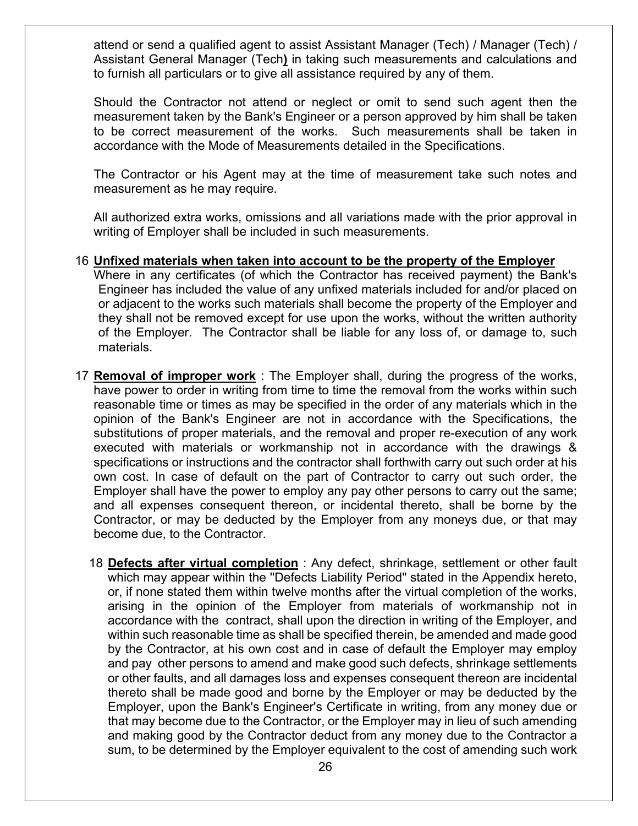attend or send a qualified agent to assist Assistant Manager (Tech) / Manager (Tech) / Assistant General Manager (Tech**)** in taking such measurements and calculations and to furnish all particulars or to give all assistance required by any of them.

Should the Contractor not attend or neglect or omit to send such agent then the measurement taken by the Bank's Engineer or a person approved by him shall be taken to be correct measurement of the works. Such measurements shall be taken in accordance with the Mode of Measurements detailed in the Specifications.

The Contractor or his Agent may at the time of measurement take such notes and measurement as he may require.

All authorized extra works, omissions and all variations made with the prior approval in writing of Employer shall be included in such measurements.

#### 16 **Unfixed materials when taken into account to be the property of the Employer**

Where in any certificates (of which the Contractor has received payment) the Bank's Engineer has included the value of any unfixed materials included for and/or placed on or adjacent to the works such materials shall become the property of the Employer and they shall not be removed except for use upon the works, without the written authority of the Employer. The Contractor shall be liable for any loss of, or damage to, such materials.

- 17 **Removal of improper work** : The Employer shall, during the progress of the works, have power to order in writing from time to time the removal from the works within such reasonable time or times as may be specified in the order of any materials which in the opinion of the Bank's Engineer are not in accordance with the Specifications, the substitutions of proper materials, and the removal and proper re-execution of any work executed with materials or workmanship not in accordance with the drawings & specifications or instructions and the contractor shall forthwith carry out such order at his own cost. In case of default on the part of Contractor to carry out such order, the Employer shall have the power to employ any pay other persons to carry out the same; and all expenses consequent thereon, or incidental thereto, shall be borne by the Contractor, or may be deducted by the Employer from any moneys due, or that may become due, to the Contractor.
	- 18 **Defects after virtual completion** : Any defect, shrinkage, settlement or other fault which may appear within the ''Defects Liability Period" stated in the Appendix hereto, or, if none stated them within twelve months after the virtual completion of the works, arising in the opinion of the Employer from materials of workmanship not in accordance with the contract, shall upon the direction in writing of the Employer, and within such reasonable time as shall be specified therein, be amended and made good by the Contractor, at his own cost and in case of default the Employer may employ and pay other persons to amend and make good such defects, shrinkage settlements or other faults, and all damages loss and expenses consequent thereon are incidental thereto shall be made good and borne by the Employer or may be deducted by the Employer, upon the Bank's Engineer's Certificate in writing, from any money due or that may become due to the Contractor, or the Employer may in lieu of such amending and making good by the Contractor deduct from any money due to the Contractor a sum, to be determined by the Employer equivalent to the cost of amending such work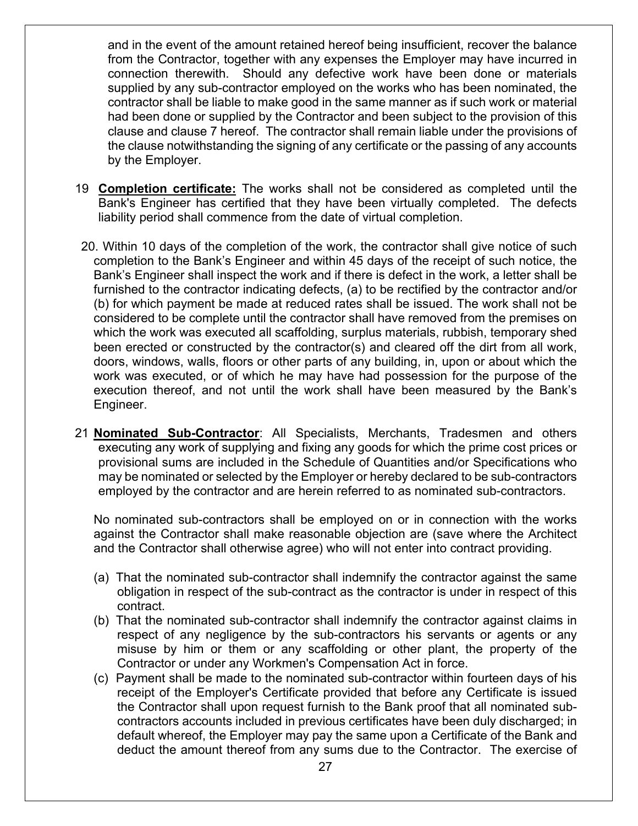and in the event of the amount retained hereof being insufficient, recover the balance from the Contractor, together with any expenses the Employer may have incurred in connection therewith. Should any defective work have been done or materials supplied by any sub-contractor employed on the works who has been nominated, the contractor shall be liable to make good in the same manner as if such work or material had been done or supplied by the Contractor and been subject to the provision of this clause and clause 7 hereof. The contractor shall remain liable under the provisions of the clause notwithstanding the signing of any certificate or the passing of any accounts by the Employer.

- 19 **Completion certificate:** The works shall not be considered as completed until the Bank's Engineer has certified that they have been virtually completed. The defects liability period shall commence from the date of virtual completion.
- 20. Within 10 days of the completion of the work, the contractor shall give notice of such completion to the Bank's Engineer and within 45 days of the receipt of such notice, the Bank's Engineer shall inspect the work and if there is defect in the work, a letter shall be furnished to the contractor indicating defects, (a) to be rectified by the contractor and/or (b) for which payment be made at reduced rates shall be issued. The work shall not be considered to be complete until the contractor shall have removed from the premises on which the work was executed all scaffolding, surplus materials, rubbish, temporary shed been erected or constructed by the contractor(s) and cleared off the dirt from all work, doors, windows, walls, floors or other parts of any building, in, upon or about which the work was executed, or of which he may have had possession for the purpose of the execution thereof, and not until the work shall have been measured by the Bank's Engineer.
- 21 **Nominated Sub-Contractor**: All Specialists, Merchants, Tradesmen and others executing any work of supplying and fixing any goods for which the prime cost prices or provisional sums are included in the Schedule of Quantities and/or Specifications who may be nominated or selected by the Employer or hereby declared to be sub-contractors employed by the contractor and are herein referred to as nominated sub-contractors.

No nominated sub-contractors shall be employed on or in connection with the works against the Contractor shall make reasonable objection are (save where the Architect and the Contractor shall otherwise agree) who will not enter into contract providing.

- (a) That the nominated sub-contractor shall indemnify the contractor against the same obligation in respect of the sub-contract as the contractor is under in respect of this contract.
- (b) That the nominated sub-contractor shall indemnify the contractor against claims in respect of any negligence by the sub-contractors his servants or agents or any misuse by him or them or any scaffolding or other plant, the property of the Contractor or under any Workmen's Compensation Act in force.
- (c) Payment shall be made to the nominated sub-contractor within fourteen days of his receipt of the Employer's Certificate provided that before any Certificate is issued the Contractor shall upon request furnish to the Bank proof that all nominated subcontractors accounts included in previous certificates have been duly discharged; in default whereof, the Employer may pay the same upon a Certificate of the Bank and deduct the amount thereof from any sums due to the Contractor. The exercise of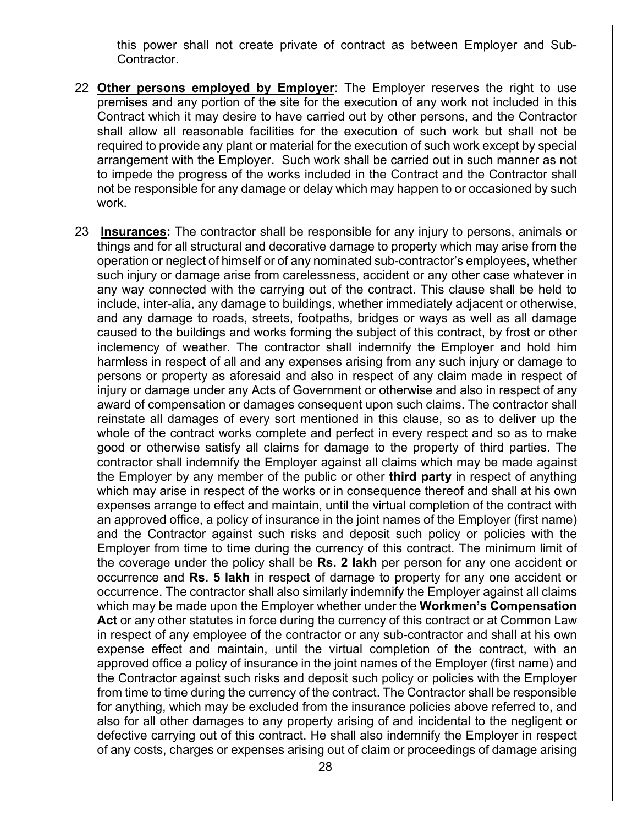this power shall not create private of contract as between Employer and Sub-Contractor.

- 22 **Other persons employed by Employer**: The Employer reserves the right to use premises and any portion of the site for the execution of any work not included in this Contract which it may desire to have carried out by other persons, and the Contractor shall allow all reasonable facilities for the execution of such work but shall not be required to provide any plant or material for the execution of such work except by special arrangement with the Employer. Such work shall be carried out in such manner as not to impede the progress of the works included in the Contract and the Contractor shall not be responsible for any damage or delay which may happen to or occasioned by such work.
- 23 **Insurances:** The contractor shall be responsible for any injury to persons, animals or things and for all structural and decorative damage to property which may arise from the operation or neglect of himself or of any nominated sub-contractor's employees, whether such injury or damage arise from carelessness, accident or any other case whatever in any way connected with the carrying out of the contract. This clause shall be held to include, inter-alia, any damage to buildings, whether immediately adjacent or otherwise, and any damage to roads, streets, footpaths, bridges or ways as well as all damage caused to the buildings and works forming the subject of this contract, by frost or other inclemency of weather. The contractor shall indemnify the Employer and hold him harmless in respect of all and any expenses arising from any such injury or damage to persons or property as aforesaid and also in respect of any claim made in respect of injury or damage under any Acts of Government or otherwise and also in respect of any award of compensation or damages consequent upon such claims. The contractor shall reinstate all damages of every sort mentioned in this clause, so as to deliver up the whole of the contract works complete and perfect in every respect and so as to make good or otherwise satisfy all claims for damage to the property of third parties. The contractor shall indemnify the Employer against all claims which may be made against the Employer by any member of the public or other **third party** in respect of anything which may arise in respect of the works or in consequence thereof and shall at his own expenses arrange to effect and maintain, until the virtual completion of the contract with an approved office, a policy of insurance in the joint names of the Employer (first name) and the Contractor against such risks and deposit such policy or policies with the Employer from time to time during the currency of this contract. The minimum limit of the coverage under the policy shall be **Rs. 2 lakh** per person for any one accident or occurrence and **Rs. 5 lakh** in respect of damage to property for any one accident or occurrence. The contractor shall also similarly indemnify the Employer against all claims which may be made upon the Employer whether under the **Workmen's Compensation Act** or any other statutes in force during the currency of this contract or at Common Law in respect of any employee of the contractor or any sub-contractor and shall at his own expense effect and maintain, until the virtual completion of the contract, with an approved office a policy of insurance in the joint names of the Employer (first name) and the Contractor against such risks and deposit such policy or policies with the Employer from time to time during the currency of the contract. The Contractor shall be responsible for anything, which may be excluded from the insurance policies above referred to, and also for all other damages to any property arising of and incidental to the negligent or defective carrying out of this contract. He shall also indemnify the Employer in respect of any costs, charges or expenses arising out of claim or proceedings of damage arising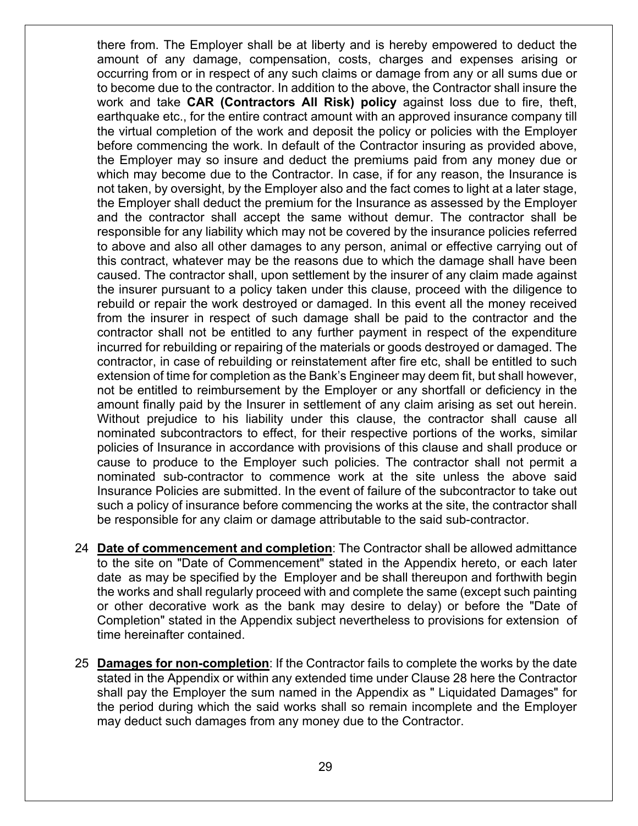there from. The Employer shall be at liberty and is hereby empowered to deduct the amount of any damage, compensation, costs, charges and expenses arising or occurring from or in respect of any such claims or damage from any or all sums due or to become due to the contractor. In addition to the above, the Contractor shall insure the work and take **CAR (Contractors All Risk) policy** against loss due to fire, theft, earthquake etc., for the entire contract amount with an approved insurance company till the virtual completion of the work and deposit the policy or policies with the Employer before commencing the work. In default of the Contractor insuring as provided above, the Employer may so insure and deduct the premiums paid from any money due or which may become due to the Contractor. In case, if for any reason, the Insurance is not taken, by oversight, by the Employer also and the fact comes to light at a later stage, the Employer shall deduct the premium for the Insurance as assessed by the Employer and the contractor shall accept the same without demur. The contractor shall be responsible for any liability which may not be covered by the insurance policies referred to above and also all other damages to any person, animal or effective carrying out of this contract, whatever may be the reasons due to which the damage shall have been caused. The contractor shall, upon settlement by the insurer of any claim made against the insurer pursuant to a policy taken under this clause, proceed with the diligence to rebuild or repair the work destroyed or damaged. In this event all the money received from the insurer in respect of such damage shall be paid to the contractor and the contractor shall not be entitled to any further payment in respect of the expenditure incurred for rebuilding or repairing of the materials or goods destroyed or damaged. The contractor, in case of rebuilding or reinstatement after fire etc, shall be entitled to such extension of time for completion as the Bank's Engineer may deem fit, but shall however, not be entitled to reimbursement by the Employer or any shortfall or deficiency in the amount finally paid by the Insurer in settlement of any claim arising as set out herein. Without prejudice to his liability under this clause, the contractor shall cause all nominated subcontractors to effect, for their respective portions of the works, similar policies of Insurance in accordance with provisions of this clause and shall produce or cause to produce to the Employer such policies. The contractor shall not permit a nominated sub-contractor to commence work at the site unless the above said Insurance Policies are submitted. In the event of failure of the subcontractor to take out such a policy of insurance before commencing the works at the site, the contractor shall be responsible for any claim or damage attributable to the said sub-contractor.

- 24 **Date of commencement and completion**: The Contractor shall be allowed admittance to the site on "Date of Commencement" stated in the Appendix hereto, or each later date as may be specified by the Employer and be shall thereupon and forthwith begin the works and shall regularly proceed with and complete the same (except such painting or other decorative work as the bank may desire to delay) or before the "Date of Completion" stated in the Appendix subject nevertheless to provisions for extension of time hereinafter contained.
- 25 **Damages for non-completion**: If the Contractor fails to complete the works by the date stated in the Appendix or within any extended time under Clause 28 here the Contractor shall pay the Employer the sum named in the Appendix as " Liquidated Damages" for the period during which the said works shall so remain incomplete and the Employer may deduct such damages from any money due to the Contractor.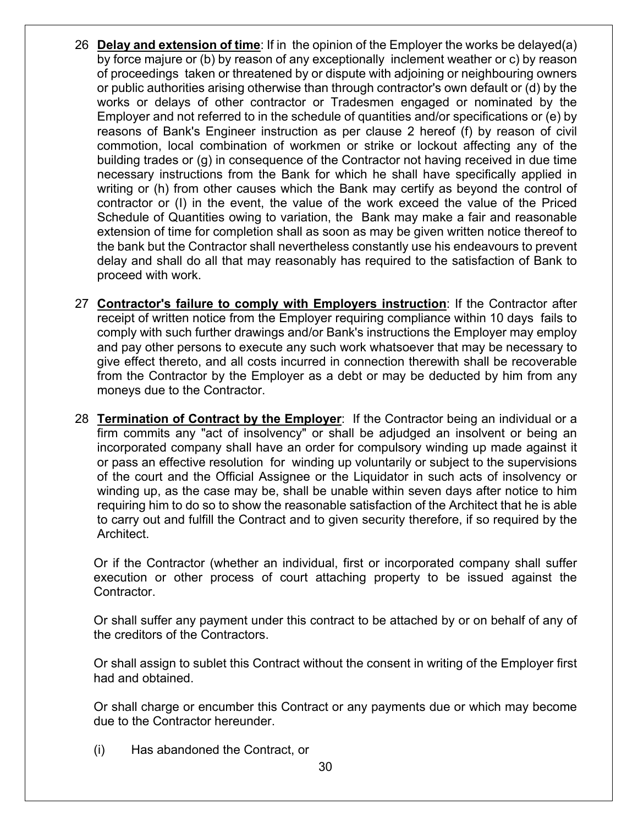- 26 **Delay and extension of time**: If in the opinion of the Employer the works be delayed(a) by force majure or (b) by reason of any exceptionally inclement weather or c) by reason of proceedings taken or threatened by or dispute with adjoining or neighbouring owners or public authorities arising otherwise than through contractor's own default or (d) by the works or delays of other contractor or Tradesmen engaged or nominated by the Employer and not referred to in the schedule of quantities and/or specifications or (e) by reasons of Bank's Engineer instruction as per clause 2 hereof (f) by reason of civil commotion, local combination of workmen or strike or lockout affecting any of the building trades or (g) in consequence of the Contractor not having received in due time necessary instructions from the Bank for which he shall have specifically applied in writing or (h) from other causes which the Bank may certify as beyond the control of contractor or (I) in the event, the value of the work exceed the value of the Priced Schedule of Quantities owing to variation, the Bank may make a fair and reasonable extension of time for completion shall as soon as may be given written notice thereof to the bank but the Contractor shall nevertheless constantly use his endeavours to prevent delay and shall do all that may reasonably has required to the satisfaction of Bank to proceed with work.
- 27 **Contractor's failure to comply with Employers instruction**: If the Contractor after receipt of written notice from the Employer requiring compliance within 10 days fails to comply with such further drawings and/or Bank's instructions the Employer may employ and pay other persons to execute any such work whatsoever that may be necessary to give effect thereto, and all costs incurred in connection therewith shall be recoverable from the Contractor by the Employer as a debt or may be deducted by him from any moneys due to the Contractor.
- 28 **Termination of Contract by the Employer**: If the Contractor being an individual or a firm commits any "act of insolvency" or shall be adjudged an insolvent or being an incorporated company shall have an order for compulsory winding up made against it or pass an effective resolution for winding up voluntarily or subject to the supervisions of the court and the Official Assignee or the Liquidator in such acts of insolvency or winding up, as the case may be, shall be unable within seven days after notice to him requiring him to do so to show the reasonable satisfaction of the Architect that he is able to carry out and fulfill the Contract and to given security therefore, if so required by the Architect.

Or if the Contractor (whether an individual, first or incorporated company shall suffer execution or other process of court attaching property to be issued against the Contractor.

Or shall suffer any payment under this contract to be attached by or on behalf of any of the creditors of the Contractors.

Or shall assign to sublet this Contract without the consent in writing of the Employer first had and obtained.

Or shall charge or encumber this Contract or any payments due or which may become due to the Contractor hereunder.

(i) Has abandoned the Contract, or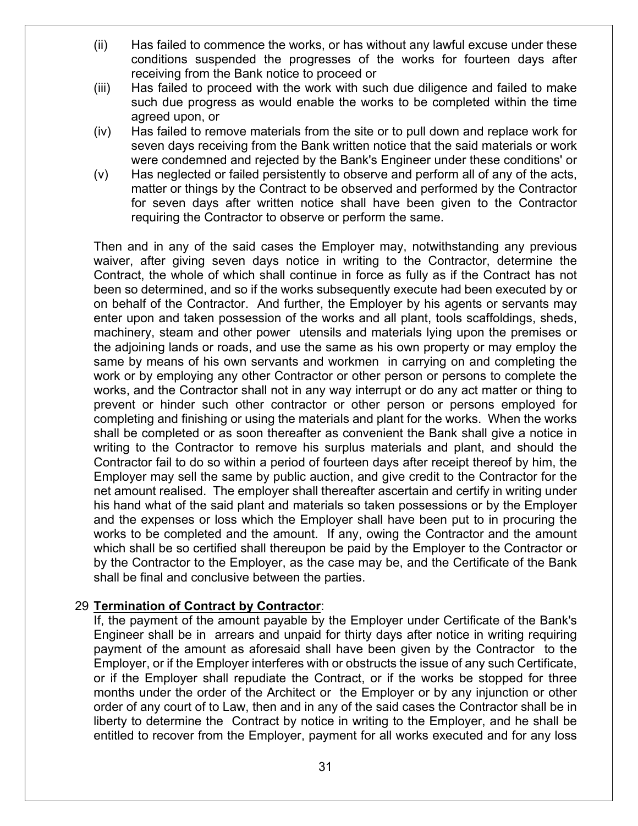- (ii) Has failed to commence the works, or has without any lawful excuse under these conditions suspended the progresses of the works for fourteen days after receiving from the Bank notice to proceed or
- (iii) Has failed to proceed with the work with such due diligence and failed to make such due progress as would enable the works to be completed within the time agreed upon, or
- (iv) Has failed to remove materials from the site or to pull down and replace work for seven days receiving from the Bank written notice that the said materials or work were condemned and rejected by the Bank's Engineer under these conditions' or
- (v) Has neglected or failed persistently to observe and perform all of any of the acts, matter or things by the Contract to be observed and performed by the Contractor for seven days after written notice shall have been given to the Contractor requiring the Contractor to observe or perform the same.

Then and in any of the said cases the Employer may, notwithstanding any previous waiver, after giving seven days notice in writing to the Contractor, determine the Contract, the whole of which shall continue in force as fully as if the Contract has not been so determined, and so if the works subsequently execute had been executed by or on behalf of the Contractor. And further, the Employer by his agents or servants may enter upon and taken possession of the works and all plant, tools scaffoldings, sheds, machinery, steam and other power utensils and materials lying upon the premises or the adjoining lands or roads, and use the same as his own property or may employ the same by means of his own servants and workmen in carrying on and completing the work or by employing any other Contractor or other person or persons to complete the works, and the Contractor shall not in any way interrupt or do any act matter or thing to prevent or hinder such other contractor or other person or persons employed for completing and finishing or using the materials and plant for the works. When the works shall be completed or as soon thereafter as convenient the Bank shall give a notice in writing to the Contractor to remove his surplus materials and plant, and should the Contractor fail to do so within a period of fourteen days after receipt thereof by him, the Employer may sell the same by public auction, and give credit to the Contractor for the net amount realised. The employer shall thereafter ascertain and certify in writing under his hand what of the said plant and materials so taken possessions or by the Employer and the expenses or loss which the Employer shall have been put to in procuring the works to be completed and the amount. If any, owing the Contractor and the amount which shall be so certified shall thereupon be paid by the Employer to the Contractor or by the Contractor to the Employer, as the case may be, and the Certificate of the Bank shall be final and conclusive between the parties.

#### 29 **Termination of Contract by Contractor**:

If, the payment of the amount payable by the Employer under Certificate of the Bank's Engineer shall be in arrears and unpaid for thirty days after notice in writing requiring payment of the amount as aforesaid shall have been given by the Contractor to the Employer, or if the Employer interferes with or obstructs the issue of any such Certificate, or if the Employer shall repudiate the Contract, or if the works be stopped for three months under the order of the Architect or the Employer or by any injunction or other order of any court of to Law, then and in any of the said cases the Contractor shall be in liberty to determine the Contract by notice in writing to the Employer, and he shall be entitled to recover from the Employer, payment for all works executed and for any loss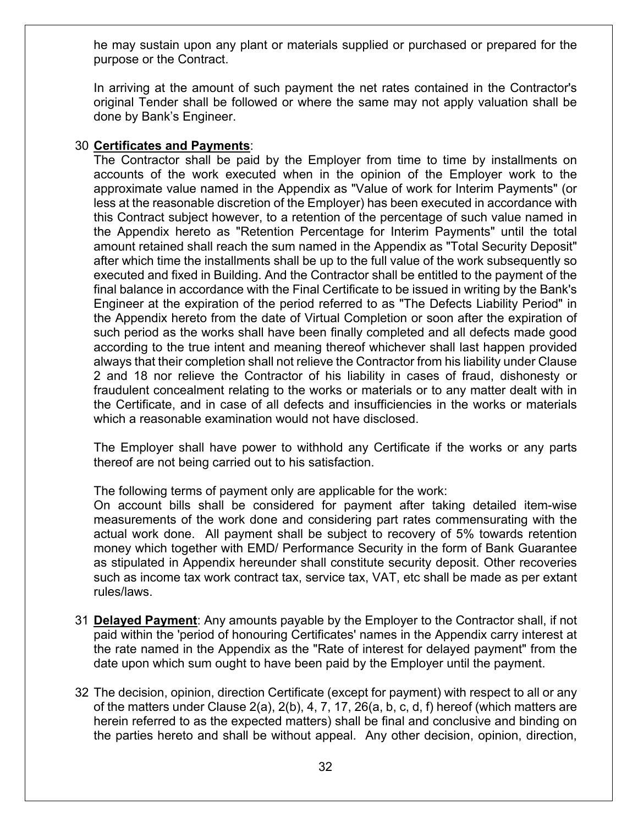he may sustain upon any plant or materials supplied or purchased or prepared for the purpose or the Contract.

In arriving at the amount of such payment the net rates contained in the Contractor's original Tender shall be followed or where the same may not apply valuation shall be done by Bank's Engineer.

#### 30 **Certificates and Payments**:

The Contractor shall be paid by the Employer from time to time by installments on accounts of the work executed when in the opinion of the Employer work to the approximate value named in the Appendix as "Value of work for Interim Payments" (or less at the reasonable discretion of the Employer) has been executed in accordance with this Contract subject however, to a retention of the percentage of such value named in the Appendix hereto as "Retention Percentage for Interim Payments" until the total amount retained shall reach the sum named in the Appendix as "Total Security Deposit" after which time the installments shall be up to the full value of the work subsequently so executed and fixed in Building. And the Contractor shall be entitled to the payment of the final balance in accordance with the Final Certificate to be issued in writing by the Bank's Engineer at the expiration of the period referred to as "The Defects Liability Period" in the Appendix hereto from the date of Virtual Completion or soon after the expiration of such period as the works shall have been finally completed and all defects made good according to the true intent and meaning thereof whichever shall last happen provided always that their completion shall not relieve the Contractor from his liability under Clause 2 and 18 nor relieve the Contractor of his liability in cases of fraud, dishonesty or fraudulent concealment relating to the works or materials or to any matter dealt with in the Certificate, and in case of all defects and insufficiencies in the works or materials which a reasonable examination would not have disclosed.

The Employer shall have power to withhold any Certificate if the works or any parts thereof are not being carried out to his satisfaction.

The following terms of payment only are applicable for the work:

On account bills shall be considered for payment after taking detailed item-wise measurements of the work done and considering part rates commensurating with the actual work done. All payment shall be subject to recovery of 5% towards retention money which together with EMD/ Performance Security in the form of Bank Guarantee as stipulated in Appendix hereunder shall constitute security deposit. Other recoveries such as income tax work contract tax, service tax, VAT, etc shall be made as per extant rules/laws.

- 31 **Delayed Payment**: Any amounts payable by the Employer to the Contractor shall, if not paid within the 'period of honouring Certificates' names in the Appendix carry interest at the rate named in the Appendix as the "Rate of interest for delayed payment" from the date upon which sum ought to have been paid by the Employer until the payment.
- 32 The decision, opinion, direction Certificate (except for payment) with respect to all or any of the matters under Clause 2(a), 2(b), 4, 7, 17, 26(a, b, c, d, f) hereof (which matters are herein referred to as the expected matters) shall be final and conclusive and binding on the parties hereto and shall be without appeal. Any other decision, opinion, direction,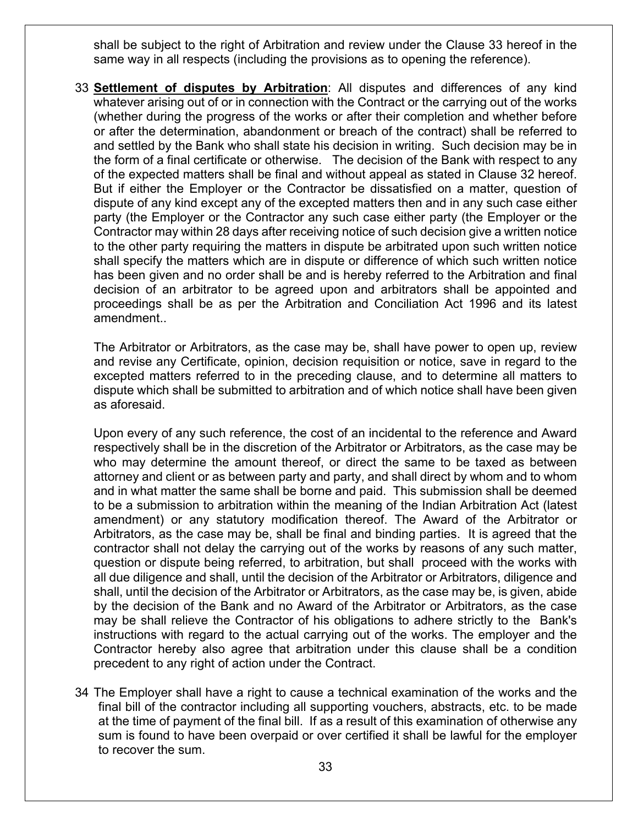shall be subject to the right of Arbitration and review under the Clause 33 hereof in the same way in all respects (including the provisions as to opening the reference).

33 **Settlement of disputes by Arbitration**: All disputes and differences of any kind whatever arising out of or in connection with the Contract or the carrying out of the works (whether during the progress of the works or after their completion and whether before or after the determination, abandonment or breach of the contract) shall be referred to and settled by the Bank who shall state his decision in writing. Such decision may be in the form of a final certificate or otherwise. The decision of the Bank with respect to any of the expected matters shall be final and without appeal as stated in Clause 32 hereof. But if either the Employer or the Contractor be dissatisfied on a matter, question of dispute of any kind except any of the excepted matters then and in any such case either party (the Employer or the Contractor any such case either party (the Employer or the Contractor may within 28 days after receiving notice of such decision give a written notice to the other party requiring the matters in dispute be arbitrated upon such written notice shall specify the matters which are in dispute or difference of which such written notice has been given and no order shall be and is hereby referred to the Arbitration and final decision of an arbitrator to be agreed upon and arbitrators shall be appointed and proceedings shall be as per the Arbitration and Conciliation Act 1996 and its latest amendment..

The Arbitrator or Arbitrators, as the case may be, shall have power to open up, review and revise any Certificate, opinion, decision requisition or notice, save in regard to the excepted matters referred to in the preceding clause, and to determine all matters to dispute which shall be submitted to arbitration and of which notice shall have been given as aforesaid.

Upon every of any such reference, the cost of an incidental to the reference and Award respectively shall be in the discretion of the Arbitrator or Arbitrators, as the case may be who may determine the amount thereof, or direct the same to be taxed as between attorney and client or as between party and party, and shall direct by whom and to whom and in what matter the same shall be borne and paid. This submission shall be deemed to be a submission to arbitration within the meaning of the Indian Arbitration Act (latest amendment) or any statutory modification thereof. The Award of the Arbitrator or Arbitrators, as the case may be, shall be final and binding parties. It is agreed that the contractor shall not delay the carrying out of the works by reasons of any such matter, question or dispute being referred, to arbitration, but shall proceed with the works with all due diligence and shall, until the decision of the Arbitrator or Arbitrators, diligence and shall, until the decision of the Arbitrator or Arbitrators, as the case may be, is given, abide by the decision of the Bank and no Award of the Arbitrator or Arbitrators, as the case may be shall relieve the Contractor of his obligations to adhere strictly to the Bank's instructions with regard to the actual carrying out of the works. The employer and the Contractor hereby also agree that arbitration under this clause shall be a condition precedent to any right of action under the Contract.

34 The Employer shall have a right to cause a technical examination of the works and the final bill of the contractor including all supporting vouchers, abstracts, etc. to be made at the time of payment of the final bill. If as a result of this examination of otherwise any sum is found to have been overpaid or over certified it shall be lawful for the employer to recover the sum.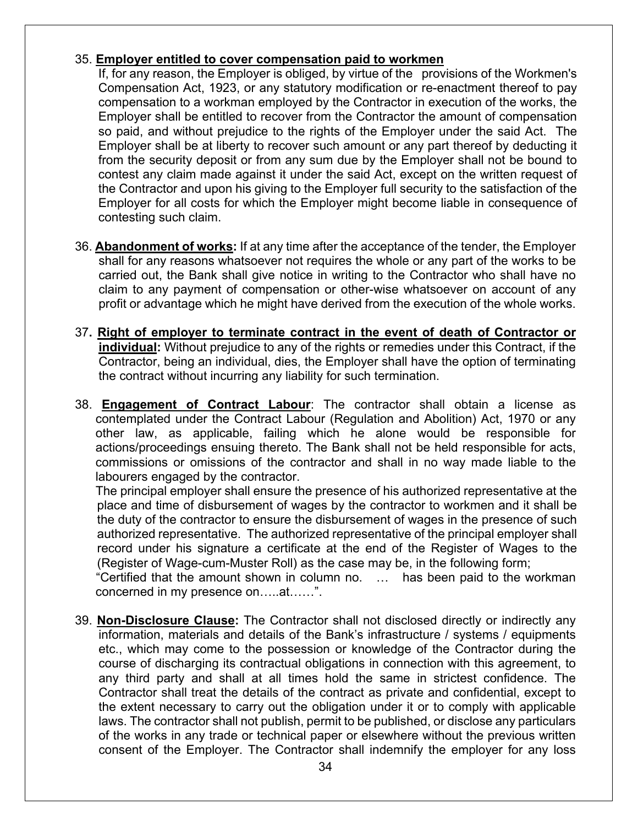#### 35. **Employer entitled to cover compensation paid to workmen**

If, for any reason, the Employer is obliged, by virtue of the provisions of the Workmen's Compensation Act, 1923, or any statutory modification or re-enactment thereof to pay compensation to a workman employed by the Contractor in execution of the works, the Employer shall be entitled to recover from the Contractor the amount of compensation so paid, and without prejudice to the rights of the Employer under the said Act. The Employer shall be at liberty to recover such amount or any part thereof by deducting it from the security deposit or from any sum due by the Employer shall not be bound to contest any claim made against it under the said Act, except on the written request of the Contractor and upon his giving to the Employer full security to the satisfaction of the Employer for all costs for which the Employer might become liable in consequence of contesting such claim.

- 36. **Abandonment of works:** If at any time after the acceptance of the tender, the Employer shall for any reasons whatsoever not requires the whole or any part of the works to be carried out, the Bank shall give notice in writing to the Contractor who shall have no claim to any payment of compensation or other-wise whatsoever on account of any profit or advantage which he might have derived from the execution of the whole works.
- 37**. Right of employer to terminate contract in the event of death of Contractor or individual:** Without prejudice to any of the rights or remedies under this Contract, if the Contractor, being an individual, dies, the Employer shall have the option of terminating the contract without incurring any liability for such termination.
- 38. **Engagement of Contract Labour**: The contractor shall obtain a license as contemplated under the Contract Labour (Regulation and Abolition) Act, 1970 or any other law, as applicable, failing which he alone would be responsible for actions/proceedings ensuing thereto. The Bank shall not be held responsible for acts, commissions or omissions of the contractor and shall in no way made liable to the labourers engaged by the contractor.

The principal employer shall ensure the presence of his authorized representative at the place and time of disbursement of wages by the contractor to workmen and it shall be the duty of the contractor to ensure the disbursement of wages in the presence of such authorized representative. The authorized representative of the principal employer shall record under his signature a certificate at the end of the Register of Wages to the (Register of Wage-cum-Muster Roll) as the case may be, in the following form;

 "Certified that the amount shown in column no. … has been paid to the workman concerned in my presence on…..at……".

39. **Non-Disclosure Clause:** The Contractor shall not disclosed directly or indirectly any information, materials and details of the Bank's infrastructure / systems / equipments etc., which may come to the possession or knowledge of the Contractor during the course of discharging its contractual obligations in connection with this agreement, to any third party and shall at all times hold the same in strictest confidence. The Contractor shall treat the details of the contract as private and confidential, except to the extent necessary to carry out the obligation under it or to comply with applicable laws. The contractor shall not publish, permit to be published, or disclose any particulars of the works in any trade or technical paper or elsewhere without the previous written consent of the Employer. The Contractor shall indemnify the employer for any loss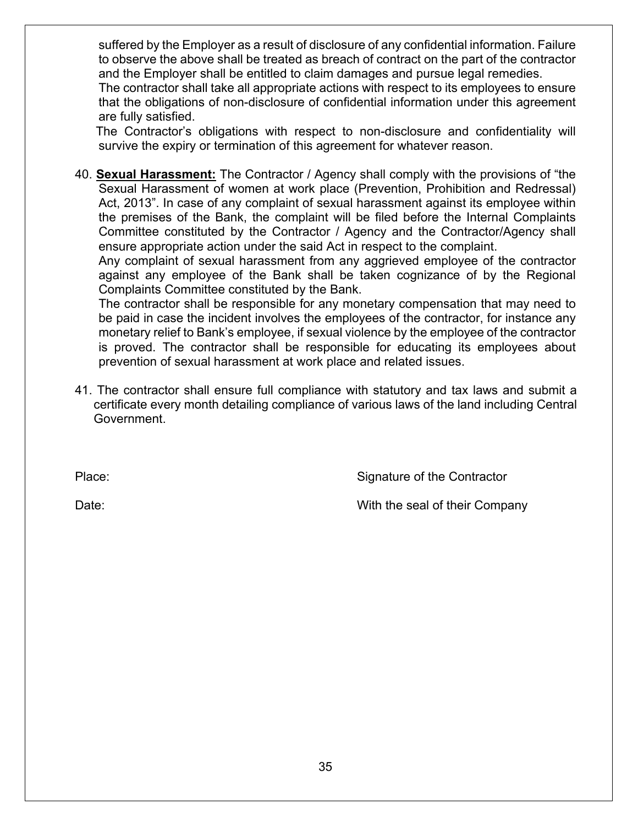suffered by the Employer as a result of disclosure of any confidential information. Failure to observe the above shall be treated as breach of contract on the part of the contractor and the Employer shall be entitled to claim damages and pursue legal remedies.

The contractor shall take all appropriate actions with respect to its employees to ensure that the obligations of non-disclosure of confidential information under this agreement are fully satisfied.

 The Contractor's obligations with respect to non-disclosure and confidentiality will survive the expiry or termination of this agreement for whatever reason.

40. **Sexual Harassment:** The Contractor / Agency shall comply with the provisions of "the Sexual Harassment of women at work place (Prevention, Prohibition and Redressal) Act, 2013". In case of any complaint of sexual harassment against its employee within the premises of the Bank, the complaint will be filed before the Internal Complaints Committee constituted by the Contractor / Agency and the Contractor/Agency shall ensure appropriate action under the said Act in respect to the complaint.

Any complaint of sexual harassment from any aggrieved employee of the contractor against any employee of the Bank shall be taken cognizance of by the Regional Complaints Committee constituted by the Bank.

The contractor shall be responsible for any monetary compensation that may need to be paid in case the incident involves the employees of the contractor, for instance any monetary relief to Bank's employee, if sexual violence by the employee of the contractor is proved. The contractor shall be responsible for educating its employees about prevention of sexual harassment at work place and related issues.

41. The contractor shall ensure full compliance with statutory and tax laws and submit a certificate every month detailing compliance of various laws of the land including Central Government.

Place: Signature of the Contractor

Date: Date: Notice that the seal of their Company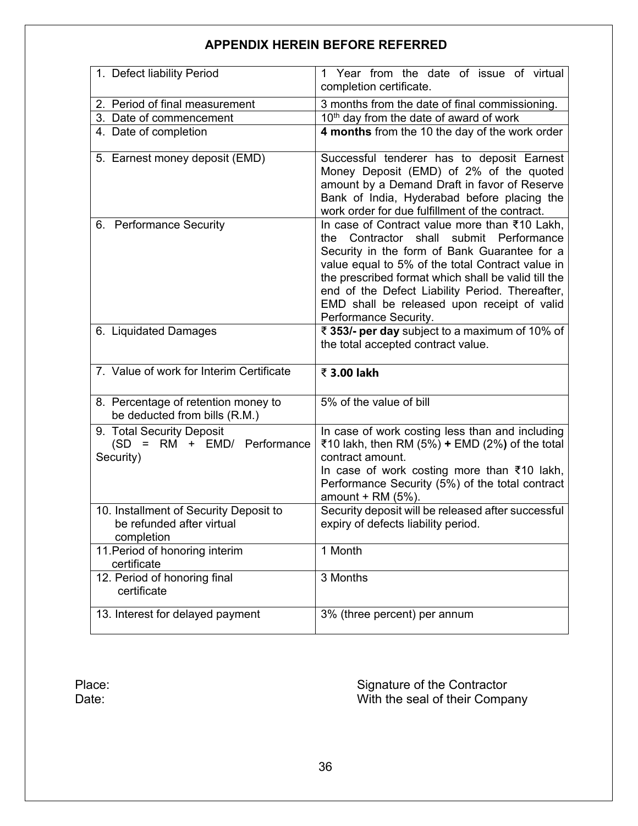## **APPENDIX HEREIN BEFORE REFERRED**

| 1. Defect liability Period                                                        | Year from the date of issue of virtual<br>1<br>completion certificate.                                                                                                                                                                                                                                                                                                               |  |  |
|-----------------------------------------------------------------------------------|--------------------------------------------------------------------------------------------------------------------------------------------------------------------------------------------------------------------------------------------------------------------------------------------------------------------------------------------------------------------------------------|--|--|
| 2. Period of final measurement                                                    | 3 months from the date of final commissioning.                                                                                                                                                                                                                                                                                                                                       |  |  |
| 3. Date of commencement                                                           | 10th day from the date of award of work                                                                                                                                                                                                                                                                                                                                              |  |  |
| 4. Date of completion                                                             | 4 months from the 10 the day of the work order                                                                                                                                                                                                                                                                                                                                       |  |  |
| 5. Earnest money deposit (EMD)                                                    | Successful tenderer has to deposit Earnest<br>Money Deposit (EMD) of 2% of the quoted<br>amount by a Demand Draft in favor of Reserve<br>Bank of India, Hyderabad before placing the<br>work order for due fulfillment of the contract.                                                                                                                                              |  |  |
| 6. Performance Security                                                           | In case of Contract value more than ₹10 Lakh,<br>Contractor shall<br>submit Performance<br>the<br>Security in the form of Bank Guarantee for a<br>value equal to 5% of the total Contract value in<br>the prescribed format which shall be valid till the<br>end of the Defect Liability Period. Thereafter,<br>EMD shall be released upon receipt of valid<br>Performance Security. |  |  |
| 6. Liquidated Damages                                                             | ₹ 353/- per day subject to a maximum of 10% of<br>the total accepted contract value.                                                                                                                                                                                                                                                                                                 |  |  |
| 7. Value of work for Interim Certificate                                          | ₹ 3.00 lakh                                                                                                                                                                                                                                                                                                                                                                          |  |  |
| 8. Percentage of retention money to<br>be deducted from bills (R.M.)              | 5% of the value of bill                                                                                                                                                                                                                                                                                                                                                              |  |  |
| 9. Total Security Deposit<br>(SD = RM + EMD/ Performance<br>Security)             | In case of work costing less than and including<br>₹10 lakh, then RM (5%) + EMD (2%) of the total<br>contract amount.<br>In case of work costing more than ₹10 lakh,                                                                                                                                                                                                                 |  |  |
|                                                                                   | Performance Security (5%) of the total contract                                                                                                                                                                                                                                                                                                                                      |  |  |
| 10. Installment of Security Deposit to<br>be refunded after virtual<br>completion | amount $+$ RM (5%).<br>Security deposit will be released after successful<br>expiry of defects liability period.                                                                                                                                                                                                                                                                     |  |  |
| 11. Period of honoring interim<br>certificate                                     | 1 Month                                                                                                                                                                                                                                                                                                                                                                              |  |  |
| 12. Period of honoring final<br>certificate                                       | 3 Months                                                                                                                                                                                                                                                                                                                                                                             |  |  |

Place: Signature of the Contractor Date: With the seal of their Company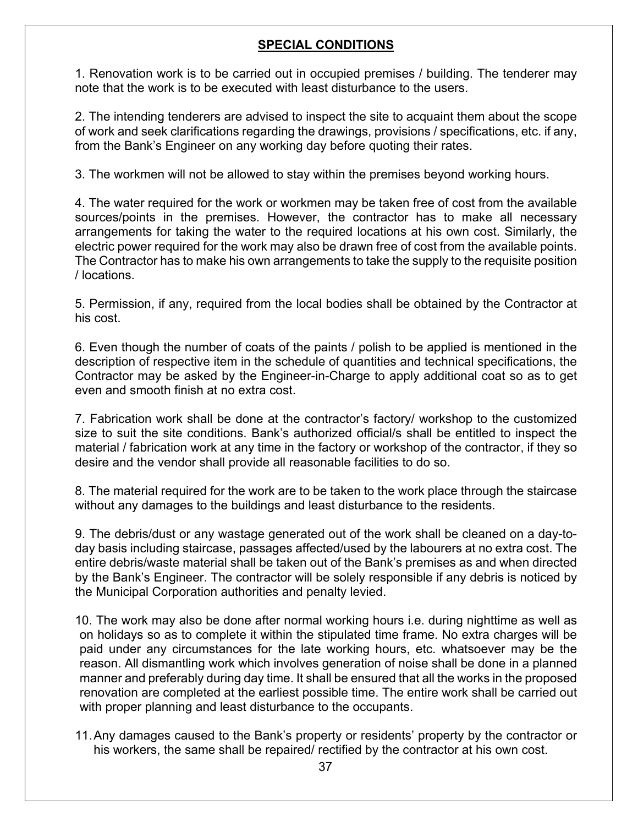### **SPECIAL CONDITIONS**

1. Renovation work is to be carried out in occupied premises / building. The tenderer may note that the work is to be executed with least disturbance to the users.

2. The intending tenderers are advised to inspect the site to acquaint them about the scope of work and seek clarifications regarding the drawings, provisions / specifications, etc. if any, from the Bank's Engineer on any working day before quoting their rates.

3. The workmen will not be allowed to stay within the premises beyond working hours.

4. The water required for the work or workmen may be taken free of cost from the available sources/points in the premises. However, the contractor has to make all necessary arrangements for taking the water to the required locations at his own cost. Similarly, the electric power required for the work may also be drawn free of cost from the available points. The Contractor has to make his own arrangements to take the supply to the requisite position / locations.

5. Permission, if any, required from the local bodies shall be obtained by the Contractor at his cost.

6. Even though the number of coats of the paints / polish to be applied is mentioned in the description of respective item in the schedule of quantities and technical specifications, the Contractor may be asked by the Engineer-in-Charge to apply additional coat so as to get even and smooth finish at no extra cost.

7. Fabrication work shall be done at the contractor's factory/ workshop to the customized size to suit the site conditions. Bank's authorized official/s shall be entitled to inspect the material / fabrication work at any time in the factory or workshop of the contractor, if they so desire and the vendor shall provide all reasonable facilities to do so.

8. The material required for the work are to be taken to the work place through the staircase without any damages to the buildings and least disturbance to the residents.

9. The debris/dust or any wastage generated out of the work shall be cleaned on a day-today basis including staircase, passages affected/used by the labourers at no extra cost. The entire debris/waste material shall be taken out of the Bank's premises as and when directed by the Bank's Engineer. The contractor will be solely responsible if any debris is noticed by the Municipal Corporation authorities and penalty levied.

10. The work may also be done after normal working hours i.e. during nighttime as well as on holidays so as to complete it within the stipulated time frame. No extra charges will be paid under any circumstances for the late working hours, etc. whatsoever may be the reason. All dismantling work which involves generation of noise shall be done in a planned manner and preferably during day time. It shall be ensured that all the works in the proposed renovation are completed at the earliest possible time. The entire work shall be carried out with proper planning and least disturbance to the occupants.

11.Any damages caused to the Bank's property or residents' property by the contractor or his workers, the same shall be repaired/ rectified by the contractor at his own cost.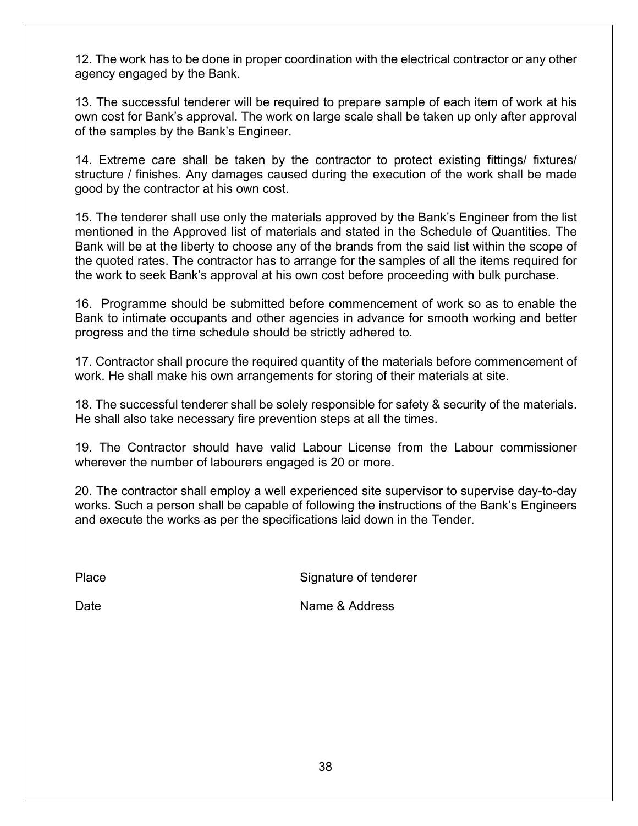12. The work has to be done in proper coordination with the electrical contractor or any other agency engaged by the Bank.

13. The successful tenderer will be required to prepare sample of each item of work at his own cost for Bank's approval. The work on large scale shall be taken up only after approval of the samples by the Bank's Engineer.

14. Extreme care shall be taken by the contractor to protect existing fittings/ fixtures/ structure / finishes. Any damages caused during the execution of the work shall be made good by the contractor at his own cost.

15. The tenderer shall use only the materials approved by the Bank's Engineer from the list mentioned in the Approved list of materials and stated in the Schedule of Quantities. The Bank will be at the liberty to choose any of the brands from the said list within the scope of the quoted rates. The contractor has to arrange for the samples of all the items required for the work to seek Bank's approval at his own cost before proceeding with bulk purchase.

16. Programme should be submitted before commencement of work so as to enable the Bank to intimate occupants and other agencies in advance for smooth working and better progress and the time schedule should be strictly adhered to.

17. Contractor shall procure the required quantity of the materials before commencement of work. He shall make his own arrangements for storing of their materials at site.

18. The successful tenderer shall be solely responsible for safety & security of the materials. He shall also take necessary fire prevention steps at all the times.

19. The Contractor should have valid Labour License from the Labour commissioner wherever the number of labourers engaged is 20 or more.

20. The contractor shall employ a well experienced site supervisor to supervise day-to-day works. Such a person shall be capable of following the instructions of the Bank's Engineers and execute the works as per the specifications laid down in the Tender.

Place Signature of tenderer

Date **Name & Address**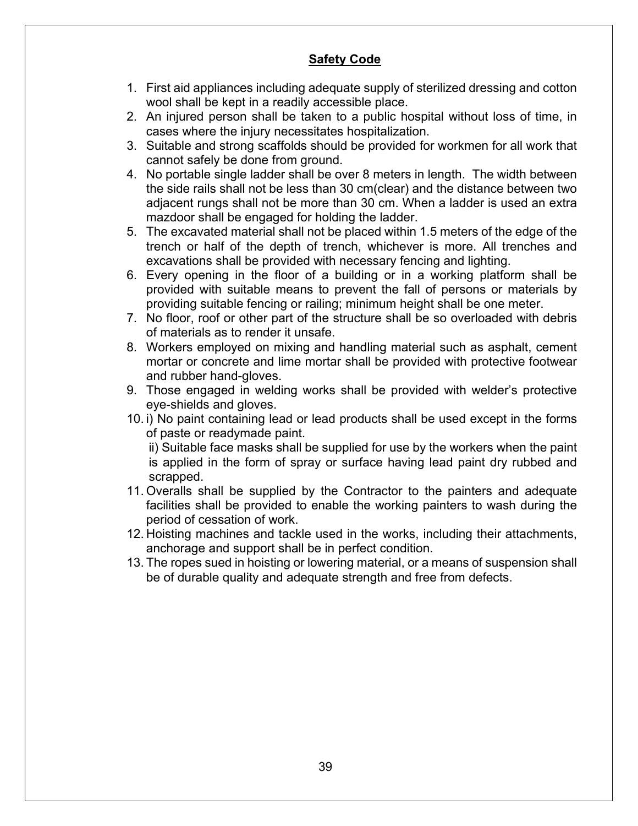### **Safety Code**

- 1. First aid appliances including adequate supply of sterilized dressing and cotton wool shall be kept in a readily accessible place.
- 2. An injured person shall be taken to a public hospital without loss of time, in cases where the injury necessitates hospitalization.
- 3. Suitable and strong scaffolds should be provided for workmen for all work that cannot safely be done from ground.
- 4. No portable single ladder shall be over 8 meters in length. The width between the side rails shall not be less than 30 cm(clear) and the distance between two adjacent rungs shall not be more than 30 cm. When a ladder is used an extra mazdoor shall be engaged for holding the ladder.
- 5. The excavated material shall not be placed within 1.5 meters of the edge of the trench or half of the depth of trench, whichever is more. All trenches and excavations shall be provided with necessary fencing and lighting.
- 6. Every opening in the floor of a building or in a working platform shall be provided with suitable means to prevent the fall of persons or materials by providing suitable fencing or railing; minimum height shall be one meter.
- 7. No floor, roof or other part of the structure shall be so overloaded with debris of materials as to render it unsafe.
- 8. Workers employed on mixing and handling material such as asphalt, cement mortar or concrete and lime mortar shall be provided with protective footwear and rubber hand-gloves.
- 9. Those engaged in welding works shall be provided with welder's protective eye-shields and gloves.
- 10. i) No paint containing lead or lead products shall be used except in the forms of paste or readymade paint.

ii) Suitable face masks shall be supplied for use by the workers when the paint is applied in the form of spray or surface having lead paint dry rubbed and scrapped.

- 11. Overalls shall be supplied by the Contractor to the painters and adequate facilities shall be provided to enable the working painters to wash during the period of cessation of work.
- 12. Hoisting machines and tackle used in the works, including their attachments, anchorage and support shall be in perfect condition.
- 13. The ropes sued in hoisting or lowering material, or a means of suspension shall be of durable quality and adequate strength and free from defects.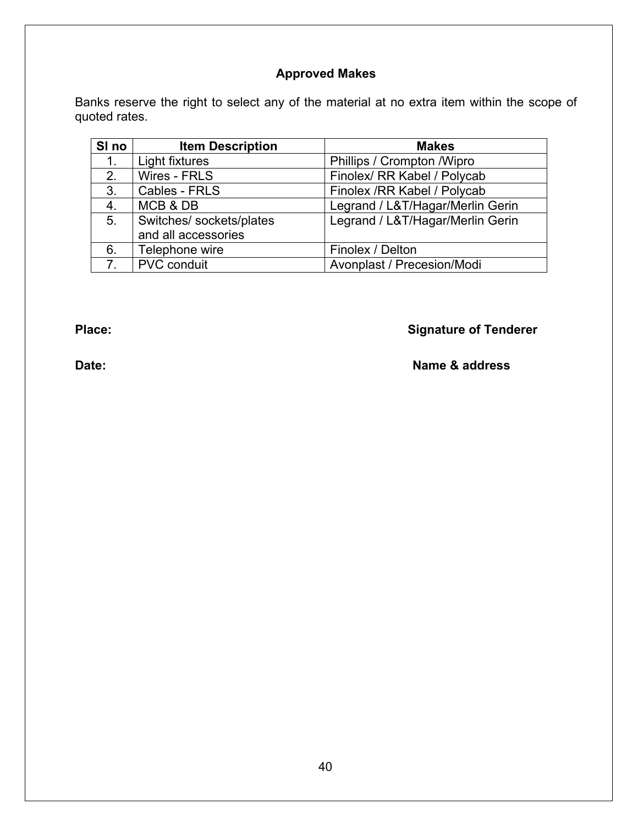### **Approved Makes**

Banks reserve the right to select any of the material at no extra item within the scope of quoted rates.

| SI <sub>no</sub> | <b>Item Description</b>  | <b>Makes</b>                     |
|------------------|--------------------------|----------------------------------|
| 1.               | Light fixtures           | Phillips / Crompton / Wipro      |
| 2.               | Wires - FRLS             | Finolex/ RR Kabel / Polycab      |
| 3.               | Cables - FRLS            | Finolex / RR Kabel / Polycab     |
| 4.               | MCB & DB                 | Legrand / L&T/Hagar/Merlin Gerin |
| 5.               | Switches/ sockets/plates | Legrand / L&T/Hagar/Merlin Gerin |
|                  | and all accessories      |                                  |
| 6.               | Telephone wire           | Finolex / Delton                 |
| $7^{\circ}$      | <b>PVC</b> conduit       | Avonplast / Precesion/Modi       |

# **Place: Place: Place: Place: Signature of Tenderer**

### **Date:** Name & address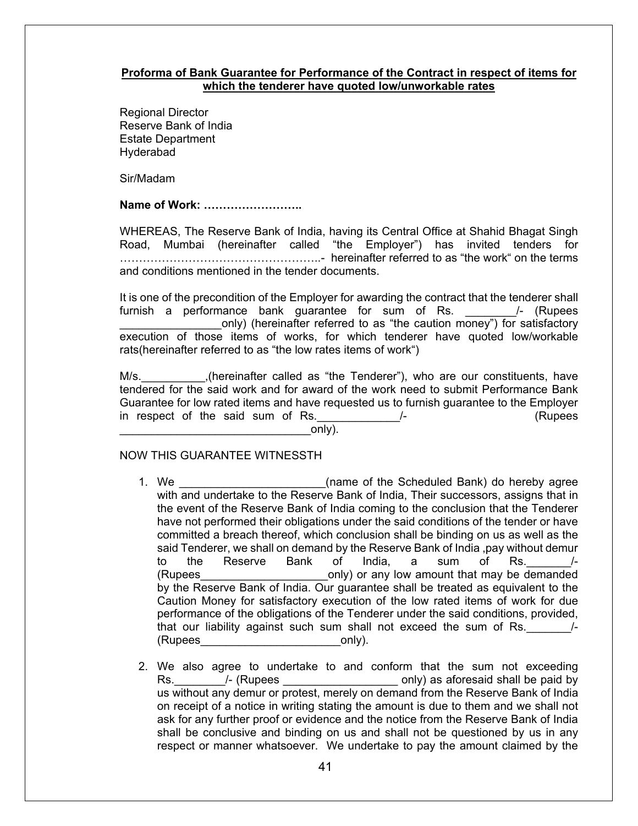#### **Proforma of Bank Guarantee for Performance of the Contract in respect of items for which the tenderer have quoted low/unworkable rates**

Regional Director Reserve Bank of India Estate Department Hyderabad

Sir/Madam

**Name of Work: ……………………..**

WHEREAS, The Reserve Bank of India, having its Central Office at Shahid Bhagat Singh Road, Mumbai (hereinafter called "the Employer") has invited tenders for ……………………………………………..- hereinafter referred to as "the work" on the terms and conditions mentioned in the tender documents.

It is one of the precondition of the Employer for awarding the contract that the tenderer shall furnish a performance bank quarantee for sum of Rs. 4. (Rupees only) (hereinafter referred to as "the caution money") for satisfactory execution of those items of works, for which tenderer have quoted low/workable rats(hereinafter referred to as "the low rates items of work")

M/s. **EXECT:** (hereinafter called as "the Tenderer"), who are our constituents, have tendered for the said work and for award of the work need to submit Performance Bank Guarantee for low rated items and have requested us to furnish guarantee to the Employer in respect of the said sum of Rs. The Manuson of Assume of Assume the Said Sum of Rs. The Manuson of Assume of A

 $\circ$ nly).

#### NOW THIS GUARANTEE WITNESSTH

- 1. We **the summanning of the Scheduled Bank**) do hereby agree with and undertake to the Reserve Bank of India, Their successors, assigns that in the event of the Reserve Bank of India coming to the conclusion that the Tenderer have not performed their obligations under the said conditions of the tender or have committed a breach thereof, which conclusion shall be binding on us as well as the said Tenderer, we shall on demand by the Reserve Bank of India ,pay without demur to the Reserve Bank of India, a sum of Rs.\_\_\_\_\_\_\_/- (Rupees\_\_\_\_\_\_\_\_\_\_\_\_\_\_\_\_\_\_\_\_only) or any low amount that may be demanded by the Reserve Bank of India. Our guarantee shall be treated as equivalent to the Caution Money for satisfactory execution of the low rated items of work for due performance of the obligations of the Tenderer under the said conditions, provided, that our liability against such sum shall not exceed the sum of Rs.  $\frac{1}{2}$ (Rupees only).
- 2. We also agree to undertake to and conform that the sum not exceeding Rs. The CRupees and CRUP only) as aforesaid shall be paid by us without any demur or protest, merely on demand from the Reserve Bank of India on receipt of a notice in writing stating the amount is due to them and we shall not ask for any further proof or evidence and the notice from the Reserve Bank of India shall be conclusive and binding on us and shall not be questioned by us in any respect or manner whatsoever. We undertake to pay the amount claimed by the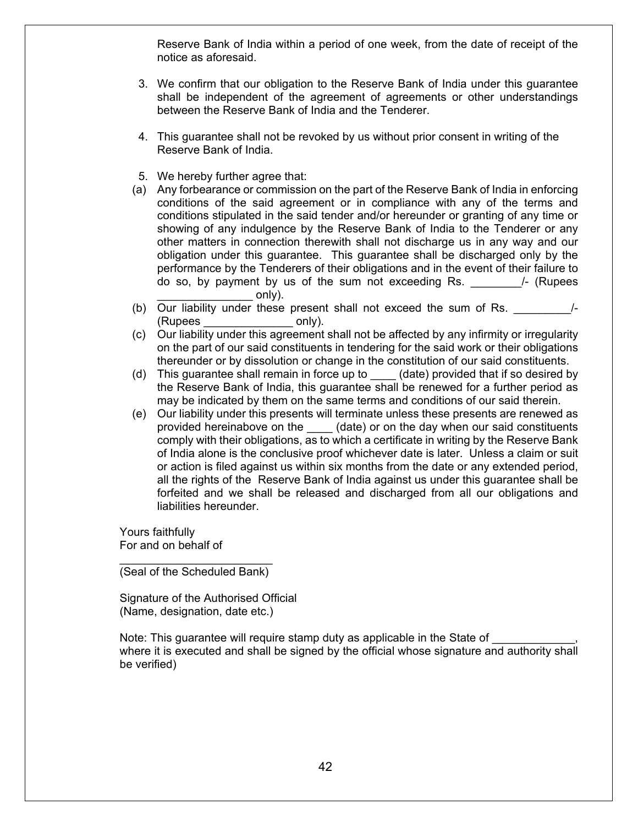Reserve Bank of India within a period of one week, from the date of receipt of the notice as aforesaid.

- 3. We confirm that our obligation to the Reserve Bank of India under this guarantee shall be independent of the agreement of agreements or other understandings between the Reserve Bank of India and the Tenderer.
- 4. This guarantee shall not be revoked by us without prior consent in writing of the Reserve Bank of India.
- 5. We hereby further agree that:
- (a) Any forbearance or commission on the part of the Reserve Bank of India in enforcing conditions of the said agreement or in compliance with any of the terms and conditions stipulated in the said tender and/or hereunder or granting of any time or showing of any indulgence by the Reserve Bank of India to the Tenderer or any other matters in connection therewith shall not discharge us in any way and our obligation under this guarantee. This guarantee shall be discharged only by the performance by the Tenderers of their obligations and in the event of their failure to do so, by payment by us of the sum not exceeding  $Rs.$   $\qquad$  /- (Rupees  $only).$
- (b) Our liability under these present shall not exceed the sum of Rs. (Rupees only).
- (c) Our liability under this agreement shall not be affected by any infirmity or irregularity on the part of our said constituents in tendering for the said work or their obligations thereunder or by dissolution or change in the constitution of our said constituents.
- (d) This guarantee shall remain in force up to \_\_\_\_ (date) provided that if so desired by the Reserve Bank of India, this guarantee shall be renewed for a further period as may be indicated by them on the same terms and conditions of our said therein.
- (e) Our liability under this presents will terminate unless these presents are renewed as provided hereinabove on the \_\_\_\_ (date) or on the day when our said constituents comply with their obligations, as to which a certificate in writing by the Reserve Bank of India alone is the conclusive proof whichever date is later. Unless a claim or suit or action is filed against us within six months from the date or any extended period, all the rights of the Reserve Bank of India against us under this guarantee shall be forfeited and we shall be released and discharged from all our obligations and liabilities hereunder.

Yours faithfully For and on behalf of

\_\_\_\_\_\_\_\_\_\_\_\_\_\_\_\_\_\_\_\_\_\_\_\_ (Seal of the Scheduled Bank)

Signature of the Authorised Official (Name, designation, date etc.)

Note: This quarantee will require stamp duty as applicable in the State of where it is executed and shall be signed by the official whose signature and authority shall be verified)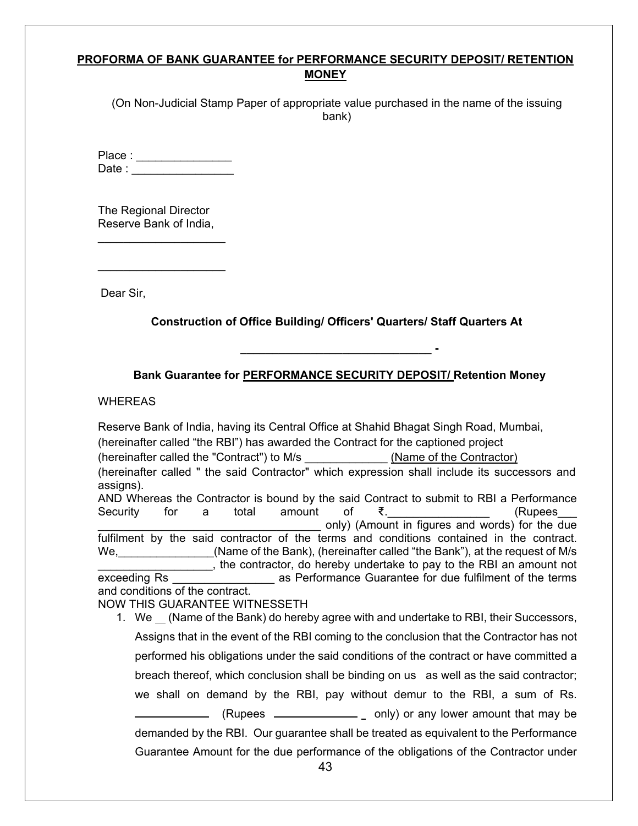#### **PROFORMA OF BANK GUARANTEE for PERFORMANCE SECURITY DEPOSIT/ RETENTION MONEY**

(On Non-Judicial Stamp Paper of appropriate value purchased in the name of the issuing bank)

Place : \_\_\_\_\_\_\_\_\_\_\_\_\_\_\_ Date :  $\Box$ 

The Regional Director Reserve Bank of India,

\_\_\_\_\_\_\_\_\_\_\_\_\_\_\_\_\_\_\_\_

 $\mathcal{L}=\mathcal{L}^{\mathcal{L}}$ 

Dear Sir,

**Construction of Office Building/ Officers' Quarters/ Staff Quarters At**

**Bank Guarantee for PERFORMANCE SECURITY DEPOSIT/ Retention Money**

**\_\_\_\_\_\_\_\_\_\_\_\_\_\_\_\_\_\_\_\_\_\_\_\_\_\_\_\_\_\_ -**

WHEREAS

Reserve Bank of India, having its Central Office at Shahid Bhagat Singh Road, Mumbai, (hereinafter called "the RBI") has awarded the Contract for the captioned project (hereinafter called the "Contract") to M/s \_\_\_\_\_\_\_\_\_\_\_\_\_ (Name of the Contractor) (hereinafter called " the said Contractor" which expression shall include its successors and assigns). AND Whereas the Contractor is bound by the said Contract to submit to RBI a Performance Security for a total amount of  $\bar{\xi}$ .  $\qquad \qquad$  (Rupees only) (Amount in figures and words) for the due fulfilment by the said contractor of the terms and conditions contained in the contract. We, the manner of the Bank), (hereinafter called "the Bank"), at the request of M/s \_\_\_\_\_\_\_\_\_\_\_\_\_\_\_\_\_\_, the contractor, do hereby undertake to pay to the RBI an amount not exceeding Rs **Exceeding Rs** as Performance Guarantee for due fulfilment of the terms and conditions of the contract. NOW THIS GUARANTEE WITNESSETH 1. We  $\Gamma$  (Name of the Bank) do hereby agree with and undertake to RBI, their Successors, Assigns that in the event of the RBI coming to the conclusion that the Contractor has not performed his obligations under the said conditions of the contract or have committed a breach thereof, which conclusion shall be binding on us as well as the said contractor; we shall on demand by the RBI, pay without demur to the RBI, a sum of Rs.

 $\Box$  (Rupees  $\Box$   $\Box$   $\Box$   $\Box$   $\Box$  only) or any lower amount that may be demanded by the RBI. Our guarantee shall be treated as equivalent to the Performance Guarantee Amount for the due performance of the obligations of the Contractor under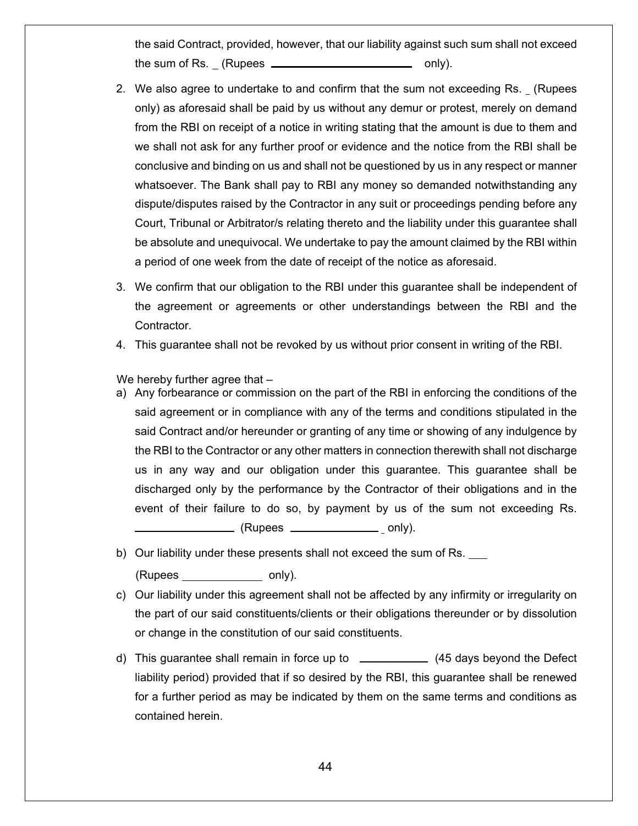the said Contract, provided, however, that our liability against such sum shall not exceed the sum of Rs. (Rupees only).

- 2. We also agree to undertake to and confirm that the sum not exceeding Rs. (Rupees only) as aforesaid shall be paid by us without any demur or protest, merely on demand from the RBI on receipt of a notice in writing stating that the amount is due to them and we shall not ask for any further proof or evidence and the notice from the RBI shall be conclusive and binding on us and shall not be questioned by us in any respect or manner whatsoever. The Bank shall pay to RBI any money so demanded notwithstanding any dispute/disputes raised by the Contractor in any suit or proceedings pending before any Court, Tribunal or Arbitrator/s relating thereto and the liability under this guarantee shall be absolute and unequivocal. We undertake to pay the amount claimed by the RBI within a period of one week from the date of receipt of the notice as aforesaid.
- 3. We confirm that our obligation to the RBI under this guarantee shall be independent of the agreement or agreements or other understandings between the RBI and the Contractor.
- 4. This guarantee shall not be revoked by us without prior consent in writing of the RBI.

We hereby further agree that -

a) Any forbearance or commission on the part of the RBI in enforcing the conditions of the said agreement or in compliance with any of the terms and conditions stipulated in the said Contract and/or hereunder or granting of any time or showing of any indulgence by the RBI to the Contractor or any other matters in connection therewith shall not discharge us in any way and our obligation under this guarantee. This guarantee shall be discharged only by the performance by the Contractor of their obligations and in the event of their failure to do so, by payment by us of the sum not exceeding Rs.

 $\sqrt{Rupees$   $\sqrt{Sup}}$  (Rupees  $\sqrt{Sup}}$  only).

- b) Our liability under these presents shall not exceed the sum of Rs. (Rupees only).
- c) Our liability under this agreement shall not be affected by any infirmity or irregularity on the part of our said constituents/clients or their obligations thereunder or by dissolution or change in the constitution of our said constituents.
- d) This guarantee shall remain in force up to \_\_\_\_\_\_\_\_\_\_\_\_ (45 days beyond the Defect liability period) provided that if so desired by the RBI, this guarantee shall be renewed for a further period as may be indicated by them on the same terms and conditions as contained herein.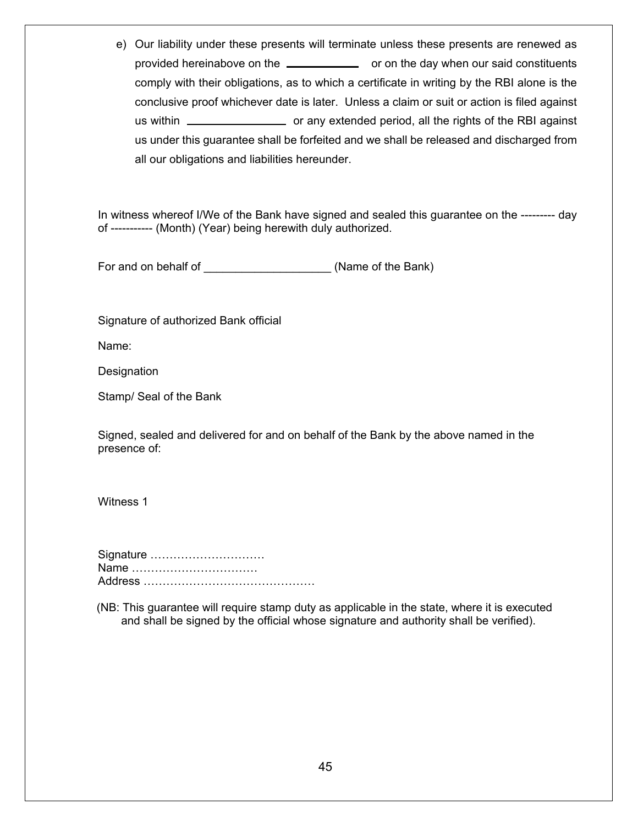e) Our liability under these presents will terminate unless these presents are renewed as provided hereinabove on the **constituents** or on the day when our said constituents comply with their obligations, as to which a certificate in writing by the RBI alone is the conclusive proof whichever date is later. Unless a claim or suit or action is filed against us within **constant of any extended period, all the rights of the RBI against** us under this guarantee shall be forfeited and we shall be released and discharged from all our obligations and liabilities hereunder.

In witness whereof I/We of the Bank have signed and sealed this guarantee on the --------- day of ----------- (Month) (Year) being herewith duly authorized.

For and on behalf of \_\_\_\_\_\_\_\_\_\_\_\_\_\_\_\_\_\_\_\_\_\_\_\_\_\_\_\_\_\_(Name of the Bank)

Signature of authorized Bank official

Name:

Designation

Stamp/ Seal of the Bank

Signed, sealed and delivered for and on behalf of the Bank by the above named in the presence of:

Witness 1

Signature ………………………… Name …………………………… Address ………………………………………

(NB: This guarantee will require stamp duty as applicable in the state, where it is executed and shall be signed by the official whose signature and authority shall be verified).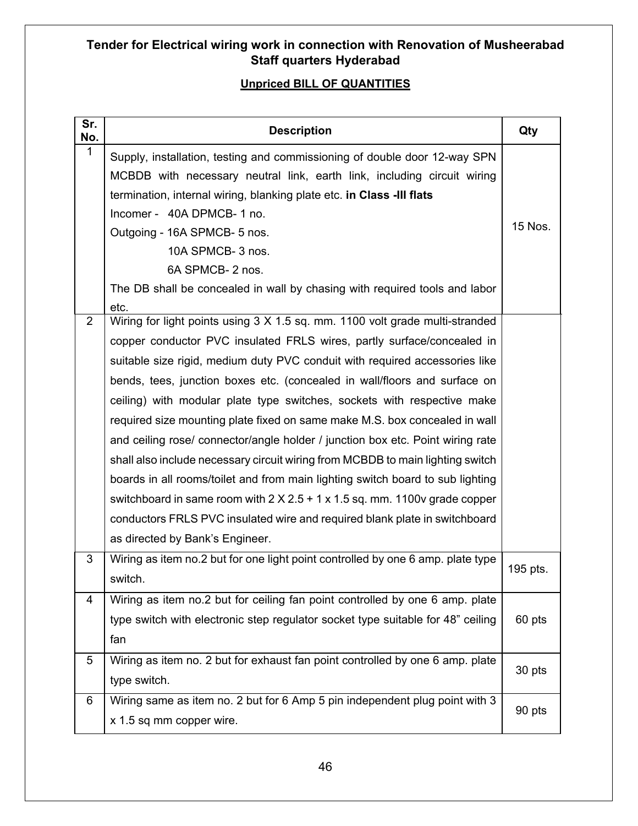## **Tender for Electrical wiring work in connection with Renovation of Musheerabad Staff quarters Hyderabad**

### **Unpriced BILL OF QUANTITIES**

| Sr.<br>No.      | <b>Description</b>                                                                                                                                                                                                                                                                                                                                                                                                                                                                                                                                                                                                                                                                                                                                                                                                                                                                                                                           | Qty      |
|-----------------|----------------------------------------------------------------------------------------------------------------------------------------------------------------------------------------------------------------------------------------------------------------------------------------------------------------------------------------------------------------------------------------------------------------------------------------------------------------------------------------------------------------------------------------------------------------------------------------------------------------------------------------------------------------------------------------------------------------------------------------------------------------------------------------------------------------------------------------------------------------------------------------------------------------------------------------------|----------|
| 1               | Supply, installation, testing and commissioning of double door 12-way SPN<br>MCBDB with necessary neutral link, earth link, including circuit wiring<br>termination, internal wiring, blanking plate etc. in Class -III flats<br>Incomer - 40A DPMCB-1 no.<br>Outgoing - 16A SPMCB- 5 nos.<br>10A SPMCB- 3 nos.<br>6A SPMCB-2 nos.<br>The DB shall be concealed in wall by chasing with required tools and labor<br>etc.                                                                                                                                                                                                                                                                                                                                                                                                                                                                                                                     | 15 Nos.  |
| $\overline{2}$  | Wiring for light points using 3 X 1.5 sq. mm. 1100 volt grade multi-stranded<br>copper conductor PVC insulated FRLS wires, partly surface/concealed in<br>suitable size rigid, medium duty PVC conduit with required accessories like<br>bends, tees, junction boxes etc. (concealed in wall/floors and surface on<br>ceiling) with modular plate type switches, sockets with respective make<br>required size mounting plate fixed on same make M.S. box concealed in wall<br>and ceiling rose/ connector/angle holder / junction box etc. Point wiring rate<br>shall also include necessary circuit wiring from MCBDB to main lighting switch<br>boards in all rooms/toilet and from main lighting switch board to sub lighting<br>switchboard in same room with $2 \times 2.5 + 1 \times 1.5$ sq. mm. 1100v grade copper<br>conductors FRLS PVC insulated wire and required blank plate in switchboard<br>as directed by Bank's Engineer. |          |
| 3               | Wiring as item no.2 but for one light point controlled by one 6 amp. plate type<br>switch.                                                                                                                                                                                                                                                                                                                                                                                                                                                                                                                                                                                                                                                                                                                                                                                                                                                   | 195 pts. |
| 4               | Wiring as item no.2 but for ceiling fan point controlled by one 6 amp. plate<br>type switch with electronic step regulator socket type suitable for 48" ceiling<br>fan                                                                                                                                                                                                                                                                                                                                                                                                                                                                                                                                                                                                                                                                                                                                                                       | 60 pts   |
| $5\phantom{.0}$ | Wiring as item no. 2 but for exhaust fan point controlled by one 6 amp. plate<br>type switch.                                                                                                                                                                                                                                                                                                                                                                                                                                                                                                                                                                                                                                                                                                                                                                                                                                                | 30 pts   |
| 6               | Wiring same as item no. 2 but for 6 Amp 5 pin independent plug point with 3<br>x 1.5 sq mm copper wire.                                                                                                                                                                                                                                                                                                                                                                                                                                                                                                                                                                                                                                                                                                                                                                                                                                      | 90 pts   |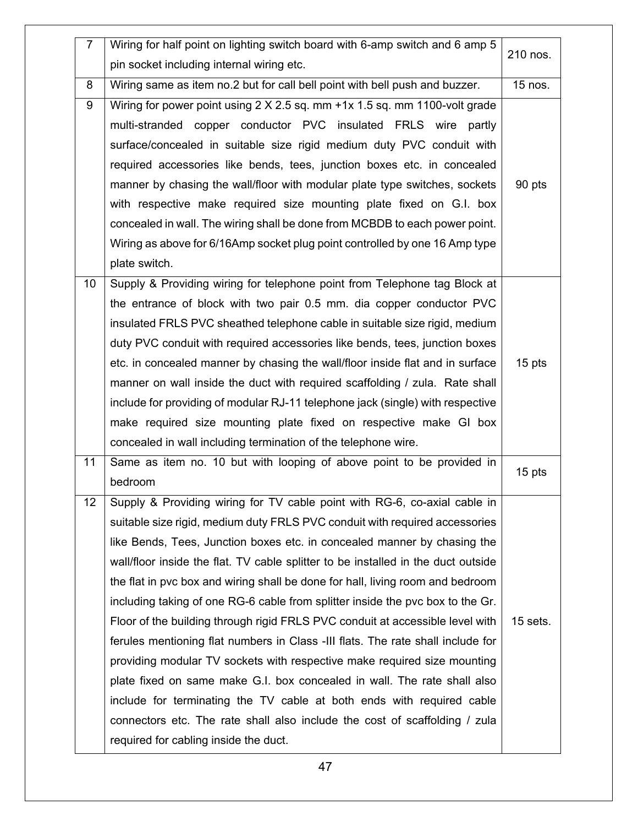| $\overline{7}$ | Wiring for half point on lighting switch board with 6-amp switch and 6 amp 5      |          |
|----------------|-----------------------------------------------------------------------------------|----------|
|                | pin socket including internal wiring etc.                                         | 210 nos. |
| 8              | Wiring same as item no.2 but for call bell point with bell push and buzzer.       | 15 nos.  |
| 9              | Wiring for power point using 2 X 2.5 sq. mm +1x 1.5 sq. mm 1100-volt grade        |          |
|                | multi-stranded copper conductor PVC insulated FRLS wire partly                    |          |
|                | surface/concealed in suitable size rigid medium duty PVC conduit with             |          |
|                | required accessories like bends, tees, junction boxes etc. in concealed           |          |
|                | manner by chasing the wall/floor with modular plate type switches, sockets        | 90 pts   |
|                | with respective make required size mounting plate fixed on G.I. box               |          |
|                | concealed in wall. The wiring shall be done from MCBDB to each power point.       |          |
|                | Wiring as above for 6/16Amp socket plug point controlled by one 16 Amp type       |          |
|                | plate switch.                                                                     |          |
| 10             | Supply & Providing wiring for telephone point from Telephone tag Block at         |          |
|                | the entrance of block with two pair 0.5 mm. dia copper conductor PVC              |          |
|                | insulated FRLS PVC sheathed telephone cable in suitable size rigid, medium        |          |
|                | duty PVC conduit with required accessories like bends, tees, junction boxes       |          |
|                | etc. in concealed manner by chasing the wall/floor inside flat and in surface     | 15 pts   |
|                | manner on wall inside the duct with required scaffolding / zula. Rate shall       |          |
|                | include for providing of modular RJ-11 telephone jack (single) with respective    |          |
|                | make required size mounting plate fixed on respective make GI box                 |          |
|                | concealed in wall including termination of the telephone wire.                    |          |
| 11             | Same as item no. 10 but with looping of above point to be provided in             | 15 pts   |
|                | bedroom                                                                           |          |
| 12             | Supply & Providing wiring for TV cable point with RG-6, co-axial cable in         |          |
|                | suitable size rigid, medium duty FRLS PVC conduit with required accessories       |          |
|                | like Bends, Tees, Junction boxes etc. in concealed manner by chasing the          |          |
|                | wall/floor inside the flat. TV cable splitter to be installed in the duct outside |          |
|                | the flat in pvc box and wiring shall be done for hall, living room and bedroom    |          |
|                | including taking of one RG-6 cable from splitter inside the pvc box to the Gr.    |          |
|                | Floor of the building through rigid FRLS PVC conduit at accessible level with     | 15 sets. |
|                | ferules mentioning flat numbers in Class -III flats. The rate shall include for   |          |
|                | providing modular TV sockets with respective make required size mounting          |          |
|                | plate fixed on same make G.I. box concealed in wall. The rate shall also          |          |
|                | include for terminating the TV cable at both ends with required cable             |          |
|                | connectors etc. The rate shall also include the cost of scaffolding / zula        |          |
|                | required for cabling inside the duct.                                             |          |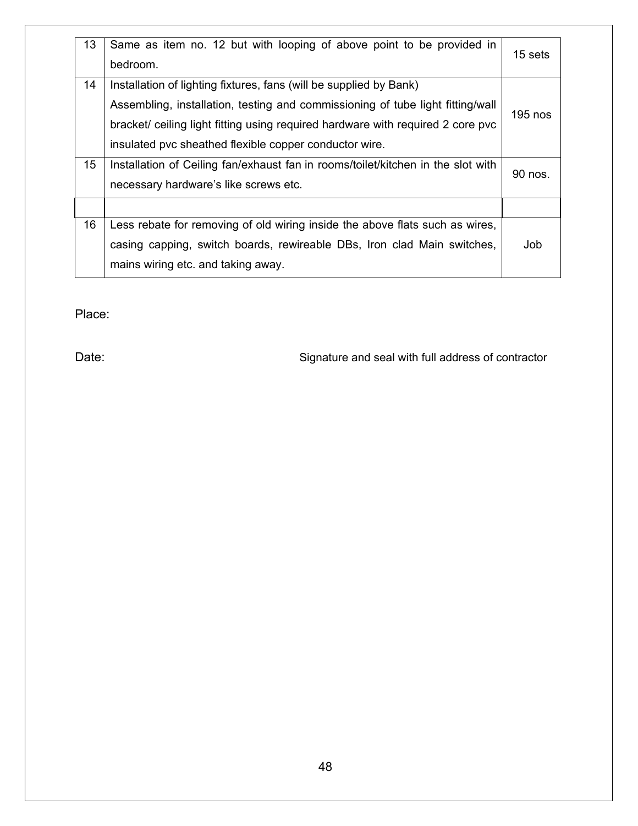| 13 | Same as item no. 12 but with looping of above point to be provided in<br>bedroom.                                                                    | 15 sets   |
|----|------------------------------------------------------------------------------------------------------------------------------------------------------|-----------|
| 14 | Installation of lighting fixtures, fans (will be supplied by Bank)<br>Assembling, installation, testing and commissioning of tube light fitting/wall |           |
|    | bracket/ ceiling light fitting using required hardware with required 2 core pvc                                                                      | $195$ nos |
|    | insulated pvc sheathed flexible copper conductor wire.                                                                                               |           |
| 15 | Installation of Ceiling fan/exhaust fan in rooms/toilet/kitchen in the slot with                                                                     | 90 nos.   |
|    | necessary hardware's like screws etc.                                                                                                                |           |
|    |                                                                                                                                                      |           |
| 16 | Less rebate for removing of old wiring inside the above flats such as wires,                                                                         |           |
|    | casing capping, switch boards, rewireable DBs, Iron clad Main switches,                                                                              | Job       |
|    | mains wiring etc. and taking away.                                                                                                                   |           |

Place:

Date: Case of Contractor Signature and seal with full address of contractor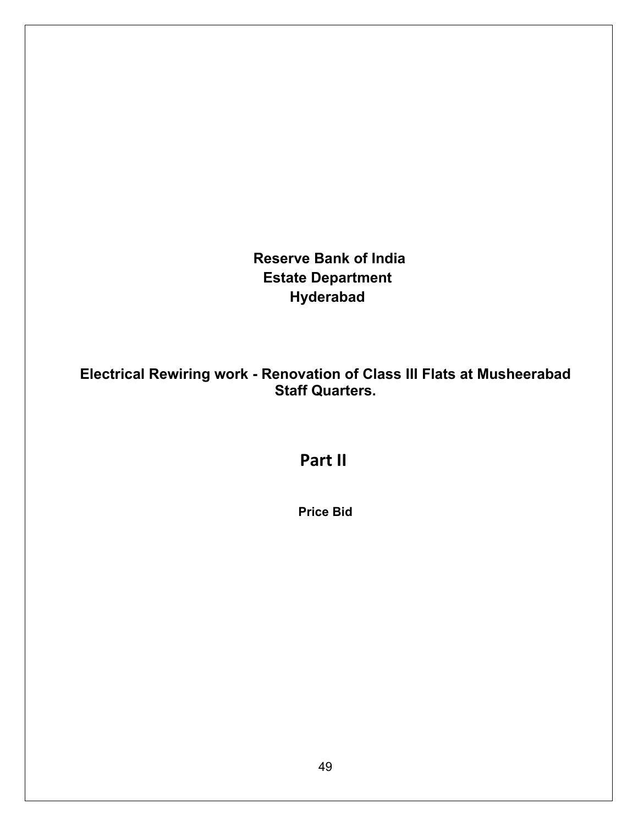**Reserve Bank of India Estate Department Hyderabad**

**Electrical Rewiring work - Renovation of Class III Flats at Musheerabad Staff Quarters.**

**Part II**

**Price Bid**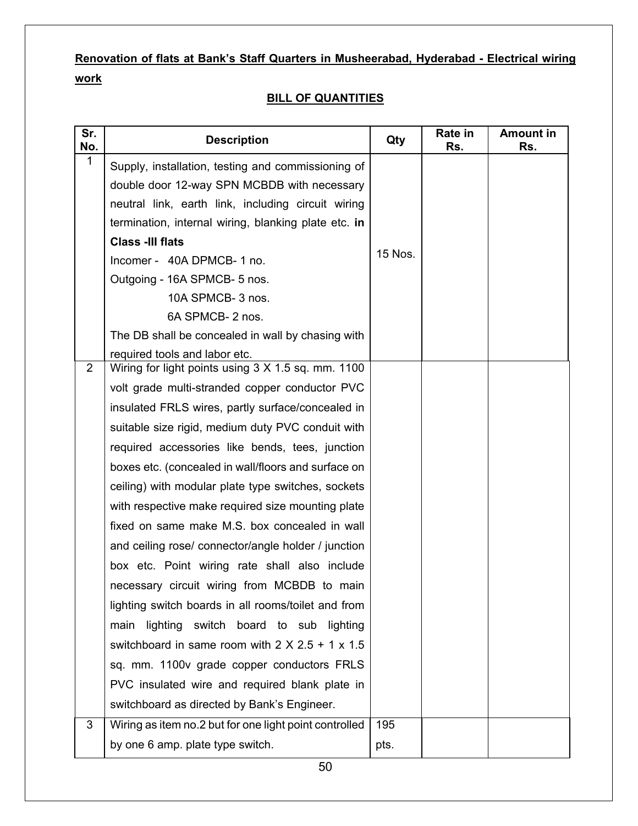# **Renovation of flats at Bank's Staff Quarters in Musheerabad, Hyderabad - Electrical wiring work**

#### **BILL OF QUANTITIES**

| Sr.<br>No.   | <b>Description</b>                                          | Qty     | Rate in<br>Rs. | <b>Amount in</b><br>Rs. |
|--------------|-------------------------------------------------------------|---------|----------------|-------------------------|
| $\mathbf{1}$ | Supply, installation, testing and commissioning of          |         |                |                         |
|              | double door 12-way SPN MCBDB with necessary                 |         |                |                         |
|              | neutral link, earth link, including circuit wiring          |         |                |                         |
|              | termination, internal wiring, blanking plate etc. in        |         |                |                         |
|              | <b>Class -III flats</b>                                     |         |                |                         |
|              | Incomer - 40A DPMCB-1 no.                                   | 15 Nos. |                |                         |
|              | Outgoing - 16A SPMCB- 5 nos.                                |         |                |                         |
|              | 10A SPMCB- 3 nos.                                           |         |                |                         |
|              | 6A SPMCB-2 nos.                                             |         |                |                         |
|              | The DB shall be concealed in wall by chasing with           |         |                |                         |
|              | required tools and labor etc.                               |         |                |                         |
| 2            | Wiring for light points using 3 X 1.5 sq. mm. 1100          |         |                |                         |
|              | volt grade multi-stranded copper conductor PVC              |         |                |                         |
|              | insulated FRLS wires, partly surface/concealed in           |         |                |                         |
|              | suitable size rigid, medium duty PVC conduit with           |         |                |                         |
|              | required accessories like bends, tees, junction             |         |                |                         |
|              | boxes etc. (concealed in wall/floors and surface on         |         |                |                         |
|              | ceiling) with modular plate type switches, sockets          |         |                |                         |
|              | with respective make required size mounting plate           |         |                |                         |
|              | fixed on same make M.S. box concealed in wall               |         |                |                         |
|              | and ceiling rose/ connector/angle holder / junction         |         |                |                         |
|              | box etc. Point wiring rate shall also include               |         |                |                         |
|              | necessary circuit wiring from MCBDB to main                 |         |                |                         |
|              | lighting switch boards in all rooms/toilet and from         |         |                |                         |
|              | main lighting switch board to sub lighting                  |         |                |                         |
|              | switchboard in same room with $2 \times 2.5 + 1 \times 1.5$ |         |                |                         |
|              | sq. mm. 1100v grade copper conductors FRLS                  |         |                |                         |
|              | PVC insulated wire and required blank plate in              |         |                |                         |
|              | switchboard as directed by Bank's Engineer.                 |         |                |                         |
| 3            | Wiring as item no.2 but for one light point controlled      | 195     |                |                         |
|              | by one 6 amp. plate type switch.                            | pts.    |                |                         |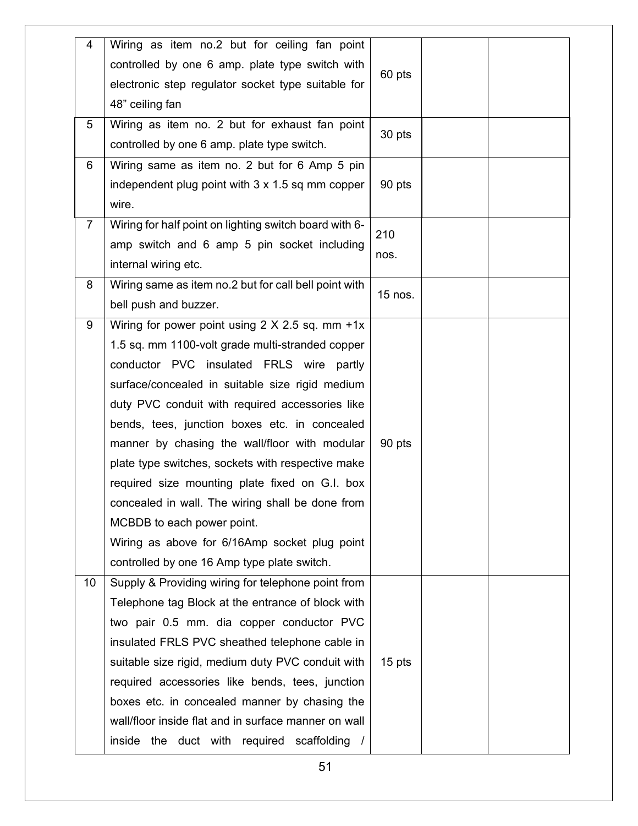| 4              | Wiring as item no.2 but for ceiling fan point          |          |  |
|----------------|--------------------------------------------------------|----------|--|
|                | controlled by one 6 amp. plate type switch with        |          |  |
|                | electronic step regulator socket type suitable for     | 60 pts   |  |
|                | 48" ceiling fan                                        |          |  |
| 5              | Wiring as item no. 2 but for exhaust fan point         |          |  |
|                | controlled by one 6 amp. plate type switch.            | 30 pts   |  |
| 6              | Wiring same as item no. 2 but for 6 Amp 5 pin          |          |  |
|                | independent plug point with 3 x 1.5 sq mm copper       | 90 pts   |  |
|                | wire.                                                  |          |  |
| $\overline{7}$ | Wiring for half point on lighting switch board with 6- | 210      |  |
|                | amp switch and 6 amp 5 pin socket including            |          |  |
|                | internal wiring etc.                                   | nos.     |  |
| 8              | Wiring same as item no.2 but for call bell point with  |          |  |
|                | bell push and buzzer.                                  | 15 nos.  |  |
| 9              | Wiring for power point using $2 \times 2.5$ sq. mm +1x |          |  |
|                | 1.5 sq. mm 1100-volt grade multi-stranded copper       |          |  |
|                | conductor PVC insulated FRLS wire partly               |          |  |
|                | surface/concealed in suitable size rigid medium        |          |  |
|                | duty PVC conduit with required accessories like        |          |  |
|                | bends, tees, junction boxes etc. in concealed          |          |  |
|                | manner by chasing the wall/floor with modular          | 90 pts   |  |
|                | plate type switches, sockets with respective make      |          |  |
|                | required size mounting plate fixed on G.I. box         |          |  |
|                | concealed in wall. The wiring shall be done from       |          |  |
|                | MCBDB to each power point.                             |          |  |
|                | Wiring as above for 6/16Amp socket plug point          |          |  |
|                | controlled by one 16 Amp type plate switch.            |          |  |
| 10             | Supply & Providing wiring for telephone point from     |          |  |
|                | Telephone tag Block at the entrance of block with      |          |  |
|                | two pair 0.5 mm. dia copper conductor PVC              |          |  |
|                | insulated FRLS PVC sheathed telephone cable in         |          |  |
|                | suitable size rigid, medium duty PVC conduit with      | $15$ pts |  |
|                | required accessories like bends, tees, junction        |          |  |
|                | boxes etc. in concealed manner by chasing the          |          |  |
|                | wall/floor inside flat and in surface manner on wall   |          |  |
|                | inside the duct with required scaffolding /            |          |  |
|                |                                                        |          |  |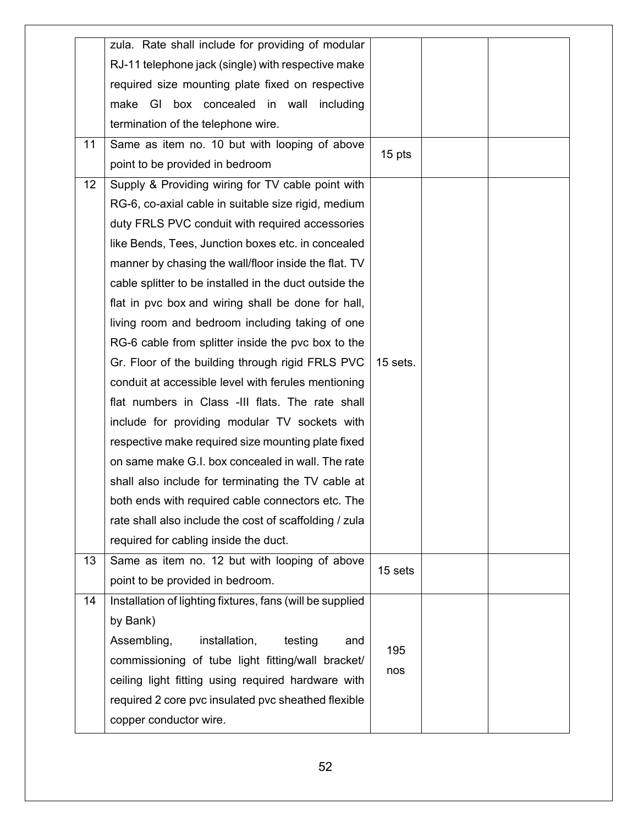| zula. Rate shall include for providing of modular<br>RJ-11 telephone jack (single) with respective make<br>required size mounting plate fixed on respective<br>make GI box concealed in wall including<br>termination of the telephone wire.<br>Same as item no. 10 but with looping of above<br>11<br>15 pts<br>point to be provided in bedroom<br>12<br>Supply & Providing wiring for TV cable point with<br>RG-6, co-axial cable in suitable size rigid, medium<br>duty FRLS PVC conduit with required accessories<br>like Bends, Tees, Junction boxes etc. in concealed<br>manner by chasing the wall/floor inside the flat. TV<br>cable splitter to be installed in the duct outside the<br>flat in pvc box and wiring shall be done for hall, |  |
|-----------------------------------------------------------------------------------------------------------------------------------------------------------------------------------------------------------------------------------------------------------------------------------------------------------------------------------------------------------------------------------------------------------------------------------------------------------------------------------------------------------------------------------------------------------------------------------------------------------------------------------------------------------------------------------------------------------------------------------------------------|--|
|                                                                                                                                                                                                                                                                                                                                                                                                                                                                                                                                                                                                                                                                                                                                                     |  |
|                                                                                                                                                                                                                                                                                                                                                                                                                                                                                                                                                                                                                                                                                                                                                     |  |
|                                                                                                                                                                                                                                                                                                                                                                                                                                                                                                                                                                                                                                                                                                                                                     |  |
|                                                                                                                                                                                                                                                                                                                                                                                                                                                                                                                                                                                                                                                                                                                                                     |  |
|                                                                                                                                                                                                                                                                                                                                                                                                                                                                                                                                                                                                                                                                                                                                                     |  |
|                                                                                                                                                                                                                                                                                                                                                                                                                                                                                                                                                                                                                                                                                                                                                     |  |
|                                                                                                                                                                                                                                                                                                                                                                                                                                                                                                                                                                                                                                                                                                                                                     |  |
|                                                                                                                                                                                                                                                                                                                                                                                                                                                                                                                                                                                                                                                                                                                                                     |  |
|                                                                                                                                                                                                                                                                                                                                                                                                                                                                                                                                                                                                                                                                                                                                                     |  |
|                                                                                                                                                                                                                                                                                                                                                                                                                                                                                                                                                                                                                                                                                                                                                     |  |
|                                                                                                                                                                                                                                                                                                                                                                                                                                                                                                                                                                                                                                                                                                                                                     |  |
|                                                                                                                                                                                                                                                                                                                                                                                                                                                                                                                                                                                                                                                                                                                                                     |  |
|                                                                                                                                                                                                                                                                                                                                                                                                                                                                                                                                                                                                                                                                                                                                                     |  |
|                                                                                                                                                                                                                                                                                                                                                                                                                                                                                                                                                                                                                                                                                                                                                     |  |
| living room and bedroom including taking of one                                                                                                                                                                                                                                                                                                                                                                                                                                                                                                                                                                                                                                                                                                     |  |
| RG-6 cable from splitter inside the pvc box to the                                                                                                                                                                                                                                                                                                                                                                                                                                                                                                                                                                                                                                                                                                  |  |
| Gr. Floor of the building through rigid FRLS PVC<br>15 sets.                                                                                                                                                                                                                                                                                                                                                                                                                                                                                                                                                                                                                                                                                        |  |
| conduit at accessible level with ferules mentioning                                                                                                                                                                                                                                                                                                                                                                                                                                                                                                                                                                                                                                                                                                 |  |
| flat numbers in Class -III flats. The rate shall                                                                                                                                                                                                                                                                                                                                                                                                                                                                                                                                                                                                                                                                                                    |  |
| include for providing modular TV sockets with                                                                                                                                                                                                                                                                                                                                                                                                                                                                                                                                                                                                                                                                                                       |  |
| respective make required size mounting plate fixed                                                                                                                                                                                                                                                                                                                                                                                                                                                                                                                                                                                                                                                                                                  |  |
| on same make G.I. box concealed in wall. The rate                                                                                                                                                                                                                                                                                                                                                                                                                                                                                                                                                                                                                                                                                                   |  |
| shall also include for terminating the TV cable at                                                                                                                                                                                                                                                                                                                                                                                                                                                                                                                                                                                                                                                                                                  |  |
| both ends with required cable connectors etc. The                                                                                                                                                                                                                                                                                                                                                                                                                                                                                                                                                                                                                                                                                                   |  |
| rate shall also include the cost of scaffolding / zula                                                                                                                                                                                                                                                                                                                                                                                                                                                                                                                                                                                                                                                                                              |  |
| required for cabling inside the duct.                                                                                                                                                                                                                                                                                                                                                                                                                                                                                                                                                                                                                                                                                                               |  |
| Same as item no. 12 but with looping of above<br>13                                                                                                                                                                                                                                                                                                                                                                                                                                                                                                                                                                                                                                                                                                 |  |
| 15 sets<br>point to be provided in bedroom.                                                                                                                                                                                                                                                                                                                                                                                                                                                                                                                                                                                                                                                                                                         |  |
| 14<br>Installation of lighting fixtures, fans (will be supplied                                                                                                                                                                                                                                                                                                                                                                                                                                                                                                                                                                                                                                                                                     |  |
| by Bank)                                                                                                                                                                                                                                                                                                                                                                                                                                                                                                                                                                                                                                                                                                                                            |  |
| Assembling,<br>installation,<br>testing<br>and                                                                                                                                                                                                                                                                                                                                                                                                                                                                                                                                                                                                                                                                                                      |  |
| 195<br>commissioning of tube light fitting/wall bracket/                                                                                                                                                                                                                                                                                                                                                                                                                                                                                                                                                                                                                                                                                            |  |
| nos<br>ceiling light fitting using required hardware with                                                                                                                                                                                                                                                                                                                                                                                                                                                                                                                                                                                                                                                                                           |  |
| required 2 core pvc insulated pvc sheathed flexible                                                                                                                                                                                                                                                                                                                                                                                                                                                                                                                                                                                                                                                                                                 |  |
| copper conductor wire.                                                                                                                                                                                                                                                                                                                                                                                                                                                                                                                                                                                                                                                                                                                              |  |